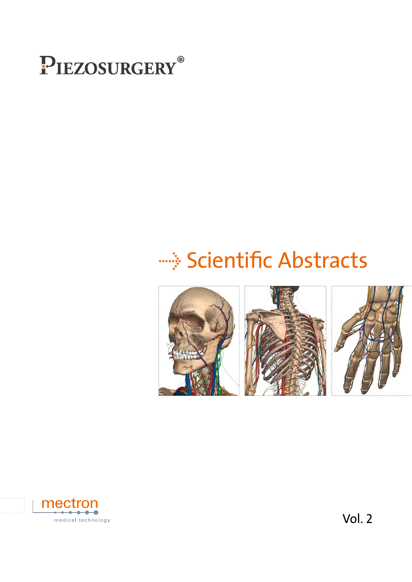

## **EDE:** Scientific Abstracts





Vol. 2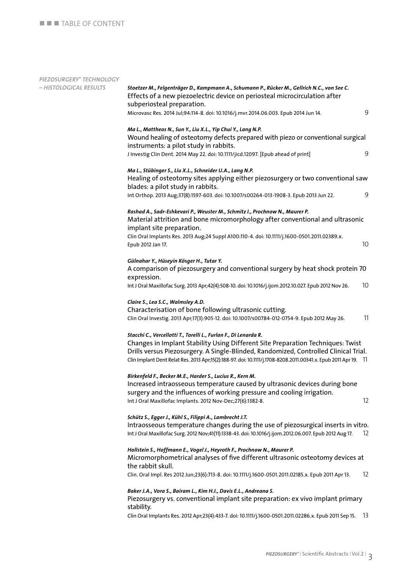### *Piezosurgery® Technology*

| – HISTOLOGICAL RESULTS | Stoetzer M., Felgenträger D., Kampmann A., Schumann P., Rücker M., Gellrich N.C., von See C.<br>Effects of a new piezoelectric device on periosteal microcirculation after                                                                                                                                                                                     |      |
|------------------------|----------------------------------------------------------------------------------------------------------------------------------------------------------------------------------------------------------------------------------------------------------------------------------------------------------------------------------------------------------------|------|
|                        | subperiosteal preparation.<br>Microvasc Res. 2014 Jul;94:114-8. doi: 10.1016/j.mvr.2014.06.003. Epub 2014 Jun 14.                                                                                                                                                                                                                                              | 9    |
|                        | Ma L., Mattheos N., Sun Y., Liu X.L., Yip Chui Y., Lang N.P.<br>Wound healing of osteotomy defects prepared with piezo or conventional surgical<br>instruments: a pilot study in rabbits.<br>J Investig Clin Dent. 2014 May 22. doi: 10.1111/jicd.12097. [Epub ahead of print]                                                                                 | 9    |
|                        | Ma L., Stübinger S., Liu X.L., Schneider U.A., Lang N.P.<br>Healing of osteotomy sites applying either piezosurgery or two conventional saw<br>blades: a pilot study in rabbits.                                                                                                                                                                               |      |
|                        | Int Orthop. 2013 Aug;37(8):1597-603. doi: 10.1007/s00264-013-1908-3. Epub 2013 Jun 22.                                                                                                                                                                                                                                                                         | 9    |
|                        | Rashad A., Sadr-Eshkevari P., Weuster M., Schmitz I., Prochnow N., Maurer P.<br>Material attrition and bone micromorphology after conventional and ultrasonic<br>implant site preparation.<br>Clin Oral Implants Res. 2013 Aug;24 Suppl A100:110-4. doi: 10.1111/j.1600-0501.2011.02389.x.<br>Epub 2012 Jan 17.                                                | 10   |
|                        |                                                                                                                                                                                                                                                                                                                                                                |      |
|                        | Gülnahar Y., Hüseyin Kösger H., Tutar Y.<br>A comparison of piezosurgery and conventional surgery by heat shock protein 70<br>expression.                                                                                                                                                                                                                      |      |
|                        | Int J Oral Maxillofac Surg. 2013 Apr;42(4):508-10. doi: 10.1016/j.ijom.2012.10.027. Epub 2012 Nov 26.                                                                                                                                                                                                                                                          | 10   |
|                        | Claire S., Lea S.C., Walmsley A.D.<br>Characterisation of bone following ultrasonic cutting.<br>Clin Oral Investig. 2013 Apr;17(3):905-12. doi: 10.1007/s00784-012-0754-9. Epub 2012 May 26.                                                                                                                                                                   | 11   |
|                        | Stacchi C., Vercellotti T., Torelli L., Furlan F., Di Lenarda R.<br>Changes in Implant Stability Using Different Site Preparation Techniques: Twist<br>Drills versus Piezosurgery. A Single-Blinded, Randomized, Controlled Clinical Trial.<br>Clin Implant Dent Relat Res. 2013 Apr;15(2):188-97. doi: 10.1111/j.1708-8208.2011.00341.x. Epub 2011 Apr 19. 11 |      |
|                        | Birkenfeld F., Becker M.E., Harder S., Lucius R., Kern M.<br>Increased intraosseous temperature caused by ultrasonic devices during bone<br>surgery and the influences of working pressure and cooling irrigation.<br>Int J Oral Maxillofac Implants. 2012 Nov-Dec;27(6):1382-8.                                                                               | 12   |
|                        | Schütz S., Egger J., Kühl S., Filippi A., Lambrecht J.T.<br>Intraosseous temperature changes during the use of piezosurgical inserts in vitro.<br>Int J Oral Maxillofac Surg. 2012 Nov;41(11):1338-43. doi: 10.1016/j.ijom.2012.06.007. Epub 2012 Aug 17.                                                                                                      | 12   |
|                        | Hollstein S., Hoffmann E., Vogel J., Heyroth F., Prochnow N., Maurer P.<br>Micromorphometrical analyses of five different ultrasonic osteotomy devices at<br>the rabbit skull.                                                                                                                                                                                 |      |
|                        | Clin. Oral Impl. Res 2012 Jun;23(6):713-8. doi: 10.1111/j.1600-0501.2011.02185.x. Epub 2011 Apr 13.                                                                                                                                                                                                                                                            | 12   |
|                        | Baker J.A., Vora S., Bairam L., Kim H.I., Davis E.L., Andreana S.<br>Piezosurgery vs. conventional implant site preparation: ex vivo implant primary<br>stability.                                                                                                                                                                                             |      |
|                        | Clin Oral Implants Res. 2012 Apr;23(4):433-7. doi: 10.1111/j.1600-0501.2011.02286.x. Epub 2011 Sep 15.                                                                                                                                                                                                                                                         | - 13 |
|                        |                                                                                                                                                                                                                                                                                                                                                                |      |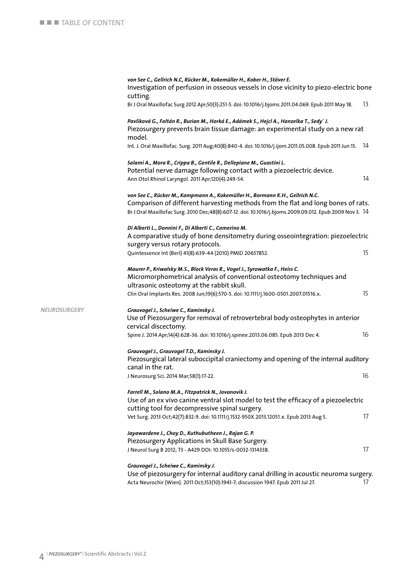|              | von See C., Gellrich N.C, Rücker M., Kokemüller H., Kober H., Stöver E.<br>Investigation of perfusion in osseous vessels in close vicinity to piezo-electric bone                                                                                                             |    |
|--------------|-------------------------------------------------------------------------------------------------------------------------------------------------------------------------------------------------------------------------------------------------------------------------------|----|
|              | cutting.<br>Br J Oral Maxillofac Surg 2012 Apr;50(3):251-5. doi: 10.1016/j.bjoms.2011.04.069. Epub 2011 May 18.                                                                                                                                                               | 13 |
|              | Pavlíková G., Foltán R., Burian M., Horká E., Adámek S., Hejcl A., Hanzelka T., Sedy´ J.<br>Piezosurgery prevents brain tissue damage: an experimental study on a new rat<br>model.                                                                                           |    |
|              | Int. J. Oral Maxillofac. Surg. 2011 Aug;40(8):840-4. doi: 10.1016/j.ijom.2011.05.008. Epub 2011 Jun 15. 14                                                                                                                                                                    |    |
|              | Salami A., Mora R., Crippa B., Gentile R., Dellepiane M., Guastini L.<br>Potential nerve damage following contact with a piezoelectric device.<br>Ann Otol Rhinol Laryngol. 2011 Apr;120(4):249-54.                                                                           | 14 |
|              | von See C., Rücker M., Kampmann A., Kokemüller H., Bormann K.H., Gellrich N.C.<br>Comparison of different harvesting methods from the flat and long bones of rats.<br>Br J Oral Maxillofac Surg. 2010 Dec;48(8):607-12. doi: 10.1016/j.bjoms.2009.09.012. Epub 2009 Nov 3. 14 |    |
|              | Di Alberti L., Donnini F., Di Alberti C., Camerino M.<br>A comparative study of bone densitometry during osseointegration: piezoelectric<br>surgery versus rotary protocols.                                                                                                  |    |
|              | Quintessence Int (Berl) 41(8):639-44 (2010) PMID 20657852.                                                                                                                                                                                                                    | 15 |
|              | Maurer P., Kriwalsky M.S., Block Veras R., Vogel J., Syrowatka F., Heiss C.<br>Micromorphometrical analysis of conventional osteotomy techniques and<br>ultrasonic osteotomy at the rabbit skull.                                                                             |    |
|              | Clin Oral Implants Res. 2008 Jun;19(6):570-5. doi: 10.1111/j.1600-0501.2007.01516.x.                                                                                                                                                                                          | 15 |
| NEUROSURGERY | Grauvogel J., Scheiwe C., Kaminsky J.<br>Use of Piezosurgery for removal of retrovertebral body osteophytes in anterior<br>cervical discectomy.                                                                                                                               |    |
|              | Spine J. 2014 Apr;14(4):628-36. doi: 10.1016/j.spinee.2013.06.085. Epub 2013 Dec 4.                                                                                                                                                                                           | 16 |
|              | Grauvogel J., Grauvogel T.D., Kaminsky J.<br>Piezosurgical lateral suboccipital craniectomy and opening of the internal auditory<br>canal in the rat.                                                                                                                         |    |
|              | J Neurosurg Sci. 2014 Mar;58(1):17-22.                                                                                                                                                                                                                                        | 16 |
|              | Farrell M., Solano M.A., Fitzpatrick N., Jovanovik J.<br>Use of an ex vivo canine ventral slot model to test the efficacy of a piezoelectric<br>cutting tool for decompressive spinal surgery.                                                                                |    |
|              | Vet Surg. 2013 Oct;42(7):832-9. doi: 10.1111/j.1532-950X.2013.12051.x. Epub 2013 Aug 5.                                                                                                                                                                                       | 17 |
|              | Jayawardene J., Choy D., Kuthubutheen J., Rajan G. P.<br>Piezosurgery Applications in Skull Base Surgery.                                                                                                                                                                     |    |
|              | J Neurol Surg B 2012; 73 - A429 DOI: 10.1055/s-0032-1314338.                                                                                                                                                                                                                  | 17 |
|              | Grauvogel J., Scheiwe C., Kaminsky J.<br>Use of piezosurgery for internal auditory canal drilling in acoustic neuroma surgery.                                                                                                                                                |    |

Acta Neurochir (Wien). 2011 Oct;153(10):1941-7; discussion 1947. Epub 2011 Jul 27. 17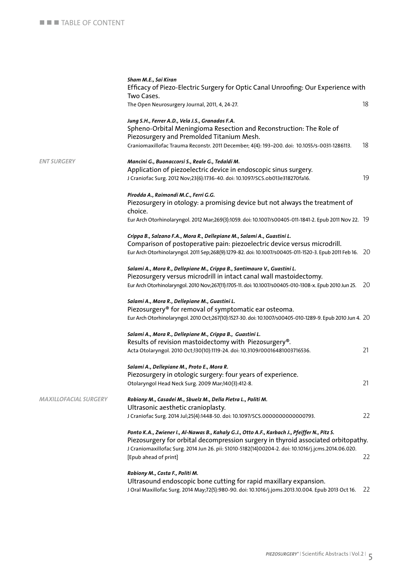|                              | Sham M.E., Sai Kiran<br>Efficacy of Piezo-Electric Surgery for Optic Canal Unroofing: Our Experience with<br>Two Cases.                                                                                                                                                                                           |    |
|------------------------------|-------------------------------------------------------------------------------------------------------------------------------------------------------------------------------------------------------------------------------------------------------------------------------------------------------------------|----|
|                              | The Open Neurosurgery Journal, 2011, 4, 24-27.                                                                                                                                                                                                                                                                    | 18 |
|                              | Jung S.H., Ferrer A.D., Vela J.S., Granados F.A.<br>Spheno-Orbital Meningioma Resection and Reconstruction: The Role of                                                                                                                                                                                           |    |
|                              | Piezosurgery and Premolded Titanium Mesh.<br>Craniomaxillofac Trauma Reconstr. 2011 December; 4(4): 193-200. doi: 10.1055/s-0031-1286113.                                                                                                                                                                         | 18 |
| <b>ENT SURGERY</b>           | Mancini G., Buonaccorsi S., Reale G., Tedaldi M.<br>Application of piezoelectric device in endoscopic sinus surgery.<br>J Craniofac Surg. 2012 Nov;23(6):1736-40. doi: 10.1097/SCS.ob013e318270fa16.                                                                                                              | 19 |
|                              | Pirodda A., Raimondi M.C., Ferri G.G.<br>Piezosurgery in otology: a promising device but not always the treatment of<br>choice.                                                                                                                                                                                   |    |
|                              | Eur Arch Otorhinolaryngol. 2012 Mar;269(3):1059. doi: 10.1007/s00405-011-1841-2. Epub 2011 Nov 22. 19                                                                                                                                                                                                             |    |
|                              | Crippa B., Salzano F.A., Mora R., Dellepiane M., Salami A., Guastini L.<br>Comparison of postoperative pain: piezoelectric device versus microdrill.<br>Eur Arch Otorhinolaryngol. 2011 Sep;268(9):1279-82. doi: 10.1007/s00405-011-1520-3. Epub 2011 Feb 16. 20                                                  |    |
|                              | Salami A., Mora R., Dellepiane M., Crippa B., Santimauro V., Guastini L.<br>Piezosurgery versus microdrill in intact canal wall mastoidectomy.<br>Eur Arch Otorhinolaryngol. 2010 Nov;267(11):1705-11. doi: 10.1007/s00405-010-1308-x. Epub 2010 Jun 25. 20                                                       |    |
|                              | Salami A., Mora R., Dellepiane M., Guastini L.<br>Piezosurgery® for removal of symptomatic ear osteoma.<br>Eur Arch Otorhinolaryngol. 2010 Oct;267(10):1527-30. doi: 10.1007/s00405-010-1289-9. Epub 2010 Jun 4. 20                                                                                               |    |
|                              | Salami A., Mora R., Dellepiane M., Crippa B., Guastini L.<br>Results of revision mastoidectomy with Piezosurgery®.<br>Acta Otolaryngol. 2010 Oct;130(10):1119-24. doi: 10.3109/00016481003716536.                                                                                                                 | 21 |
|                              | Salami A., Dellepiane M., Proto E., Mora R.<br>Piezosurgery in otologic surgery: four years of experience.<br>Otolaryngol Head Neck Surg. 2009 Mar;140(3):412-8.                                                                                                                                                  | 21 |
| <b>MAXILLOFACIAL SURGERY</b> | Robiony M., Casadei M., Sbuelz M., Della Pietra L., Politi M.<br>Ultrasonic aesthetic cranioplasty.<br>J Craniofac Surg. 2014 Jul;25(4):1448-50. doi: 10.1097/SCS.0000000000000793.                                                                                                                               | 22 |
|                              | Ponto K.A., Zwiener I., Al-Nawas B., Kahaly G.J., Otto A.F., Karbach J., Pfeiffer N., Pitz S.<br>Piezosurgery for orbital decompression surgery in thyroid associated orbitopathy.<br>J Craniomaxillofac Surg. 2014 Jun 26. pii: S1010-5182(14)00204-2. doi: 10.1016/j.jcms.2014.06.020.<br>[Epub ahead of print] | 22 |
|                              | Robiony M., Costa F., Politi M.<br>Ultrasound endoscopic bone cutting for rapid maxillary expansion.<br>J Oral Maxillofac Surg. 2014 May;72(5):980-90. doi: 10.1016/j.joms.2013.10.004. Epub 2013 Oct 16.                                                                                                         | 22 |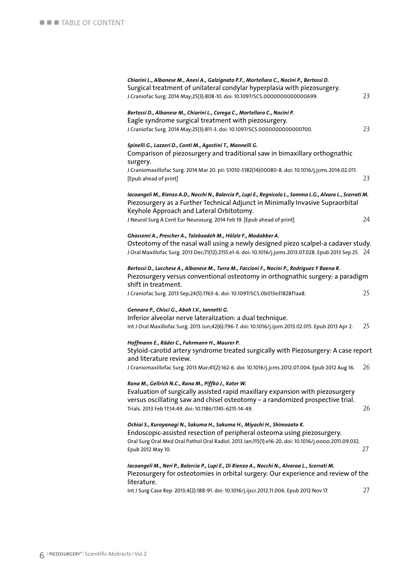| Chiarini L., Albanese M., Anesi A., Galzignato P.F., Mortellaro C., Nocini P., Bertossi D.<br>Surgical treatment of unilateral condylar hyperplasia with piezosurgery.<br>J Craniofac Surg. 2014 May;25(3):808-10. doi: 10.1097/SCS.0000000000000699.                              | 23 |
|------------------------------------------------------------------------------------------------------------------------------------------------------------------------------------------------------------------------------------------------------------------------------------|----|
| Bertossi D., Albanese M., Chiarini L., Corega C., Mortellaro C., Nocini P.<br>Eagle syndrome surgical treatment with piezosurgery.<br>J Craniofac Surg. 2014 May;25(3):811-3. doi: 10.1097/SCS.0000000000000700.                                                                   | 23 |
| Spinelli G., Lazzeri D., Conti M., Agostini T., Mannelli G.<br>Comparison of piezosurgery and traditional saw in bimaxillary orthognathic<br>surgery.                                                                                                                              |    |
| J Craniomaxillofac Surg. 2014 Mar 20. pii: S1010-5182(14)00080-8. doi: 10.1016/j.jcms.2014.02.011.<br>[Epub ahead of print]                                                                                                                                                        | 23 |
| Iacoangeli M., Rienzo A.D., Nocchi N., Balercia P., Lupi E., Regnicolo L., Somma L.G., Alvaro L., Scerrati M.<br>Piezosurgery as a Further Technical Adjunct in Minimally Invasive Supraorbital<br>Keyhole Approach and Lateral Orbitotomy.                                        |    |
| J Neurol Surg A Cent Eur Neurosurg. 2014 Feb 19. [Epub ahead of print]                                                                                                                                                                                                             | 24 |
| Ghassemi A., Prescher A., Talebzadeh M., Hölzle F., Modabber A.<br>Osteotomy of the nasal wall using a newly designed piezo scalpel-a cadaver study.<br>J Oral Maxillofac Surg. 2013 Dec;71(12):2155.e1-6. doi: 10.1016/j.joms.2013.07.028. Epub 2013 Sep 25. 24                   |    |
| Bertossi D., Lucchese A., Albanese M., Turra M., Faccioni F., Nocini P., Rodriguez Y Baena R.<br>Piezosurgery versus conventional osteotomy in orthognathic surgery: a paradigm<br>shift in treatment.                                                                             |    |
| J Craniofac Surg. 2013 Sep;24(5):1763-6. doi: 10.1097/SCS.0b013e31828f1aa8.                                                                                                                                                                                                        | 25 |
| Gennaro P., Chisci G., Aboh I.V., Iannetti G.<br>Inferior alveolar nerve lateralization: a dual technique.<br>Int J Oral Maxillofac Surg. 2013 Jun;42(6):796-7. doi: 10.1016/j.ijom.2013.02.015. Epub 2013 Apr 2.                                                                  | 25 |
| Hoffmann E., Räder C., Fuhrmann H., Maurer P.<br>Styloid-carotid artery syndrome treated surgically with Piezosurgery: A case report<br>and literature review.                                                                                                                     |    |
| J Craniomaxillofac Surg. 2013 Mar;41(2):162-6. doi: 10.1016/j.jcms.2012.07.004. Epub 2012 Aug 16.                                                                                                                                                                                  | 26 |
| Rana M., Gellrich N.C., Rana M., Piffkó J., Kater W.<br>Evaluation of surgically assisted rapid maxillary expansion with piezosurgery<br>versus oscillating saw and chisel osteotomy - a randomized prospective trial.<br>Trials. 2013 Feb 17;14:49. doi: 10.1186/1745-6215-14-49. | 26 |
| Ochiai S., Kuroyanagi N., Sakuma H., Sakuma H., Miyachi H., Shimozato K.<br>Endoscopic-assisted resection of peripheral osteoma using piezosurgery.<br>Oral Surg Oral Med Oral Pathol Oral Radiol. 2013 Jan;115(1):e16-20. doi: 10.1016/j.0000.2011.09.032.<br>Epub 2012 May 10.   | 27 |
| Iacoangeli M., Neri P., Balercia P., Lupi E., Di Rienzo A., Nocchi N., Alvaroa L., Scerrati M.<br>Piezosurgery for osteotomies in orbital surgery: Our experience and review of the<br>literature.                                                                                 |    |
| Int J Surg Case Rep. 2013;4(2):188-91. doi: 10.1016/j.ijscr.2012.11.006. Epub 2012 Nov 17.                                                                                                                                                                                         | 27 |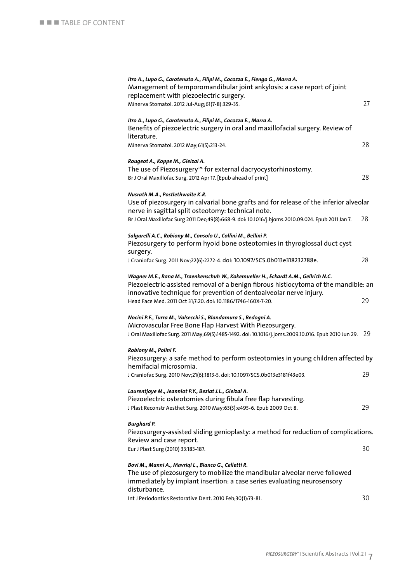| Itro A., Lupo G., Carotenuto A., Filipi M., Cocozza E., Fiengo G., Marra A.<br>Management of temporomandibular joint ankylosis: a case report of joint<br>replacement with piezoelectric surgery.<br>Minerva Stomatol. 2012 Jul-Aug;61(7-8):329-35. | 27 |
|-----------------------------------------------------------------------------------------------------------------------------------------------------------------------------------------------------------------------------------------------------|----|
| Itro A., Lupo G., Carotenuto A., Filipi M., Cocozza E., Marra A.<br>Benefits of piezoelectric surgery in oral and maxillofacial surgery. Review of<br>literature.                                                                                   |    |
| Minerva Stomatol. 2012 May;61(5):213-24.                                                                                                                                                                                                            | 28 |
| Rougeot A., Koppe M., Gleizal A.<br>The use of Piezosurgery <sup>™</sup> for external dacryocystorhinostomy.<br>Br J Oral Maxillofac Surg. 2012 Apr 17. [Epub ahead of print]                                                                       | 28 |
| Nusrath M.A., Postlethwaite K.R.<br>Use of piezosurgery in calvarial bone grafts and for release of the inferior alveolar<br>nerve in sagittal split osteotomy: technical note.                                                                     |    |
| Br J Oral Maxillofac Surg 2011 Dec;49(8):668-9. doi: 10.1016/j.bjoms.2010.09.024. Epub 2011 Jan 7.                                                                                                                                                  | 28 |
| Salgarelli A.C., Robiony M., Consolo U., Collini M., Bellini P.<br>Piezosurgery to perform hyoid bone osteotomies in thyroglossal duct cyst<br>surgery.                                                                                             |    |
| J Craniofac Surg. 2011 Nov;22(6):2272-4. doi: 10.1097/SCS.0b013e318232788e.                                                                                                                                                                         | 28 |
| Wagner M.E., Rana M., Traenkenschuh W., Kokemueller H., Eckardt A.M., Gellrich N.C.<br>Piezoelectric-assisted removal of a benign fibrous histiocytoma of the mandible: an<br>innovative technique for prevention of dentoalveolar nerve injury.    | 29 |
| Head Face Med. 2011 Oct 31;7:20. doi: 10.1186/1746-160X-7-20.                                                                                                                                                                                       |    |
| Nocini P.F., Turra M., Valsecchi S., Blandamura S., Bedogni A.<br>Microvascular Free Bone Flap Harvest With Piezosurgery.<br>J Oral Maxillofac Surg. 2011 May;69(5):1485-1492. doi: 10.1016/j.joms.2009.10.016. Epub 2010 Jun 29.                   | 29 |
| Robiony M., Polini F.                                                                                                                                                                                                                               |    |
| Piezosurgery: a safe method to perform osteotomies in young children affected by<br>hemifacial microsomia.                                                                                                                                          |    |
| J Craniofac Surg. 2010 Nov;21(6):1813-5. doi: 10.1097/SCS.0b013e3181f43e03.                                                                                                                                                                         | 29 |
| Laurentjoye M., Jeanniot P.Y., Beziat J.L., Gleizal A.<br>Piezoelectric osteotomies during fibula free flap harvesting.<br>J Plast Reconstr Aesthet Surg. 2010 May;63(5):e495-6. Epub 2009 Oct 8.                                                   | 29 |
| <b>Burghard P.</b>                                                                                                                                                                                                                                  |    |
| Piezosurgery-assisted sliding genioplasty: a method for reduction of complications.<br>Review and case report.                                                                                                                                      |    |
| Eur J Plast Surg (2010) 33:183-187.                                                                                                                                                                                                                 | 30 |
| Bovi M., Manni A., Mavriqi L., Bianco G., Celletti R.<br>The use of piezosurgery to mobilize the mandibular alveolar nerve followed<br>immediately by implant insertion: a case series evaluating neurosensory<br>disturbance.                      |    |
| Int J Periodontics Restorative Dent. 2010 Feb;30(1):73-81.                                                                                                                                                                                          | 30 |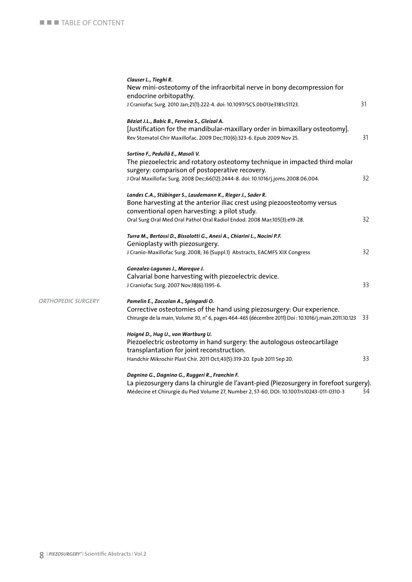|                           | Clauser L., Tieghi R.<br>New mini-osteotomy of the infraorbital nerve in bony decompression for       |      |
|---------------------------|-------------------------------------------------------------------------------------------------------|------|
|                           | endocrine orbitopathy.                                                                                | 31   |
|                           | J Craniofac Surg. 2010 Jan;21(1):222-4. doi: 10.1097/SCS.0b013e3181c51123.                            |      |
|                           | Béziat J.L., Babic B., Ferreira S., Gleizal A.                                                        |      |
|                           | [Justification for the mandibular-maxillary order in bimaxillary osteotomy].                          |      |
|                           | Rev Stomatol Chir Maxillofac. 2009 Dec;110(6):323-6. Epub 2009 Nov 25.                                | 31   |
|                           | Sortino F., Pedullà E., Masoli V.                                                                     |      |
|                           | The piezoelectric and rotatory osteotomy technique in impacted third molar                            |      |
|                           | surgery: comparison of postoperative recovery.                                                        |      |
|                           | J Oral Maxillofac Surg. 2008 Dec;66(12):2444-8. doi: 10.1016/j.joms.2008.06.004.                      | 32   |
|                           | Landes C.A., Stübinger S., Laudemann K., Rieger J., Sader R.                                          |      |
|                           | Bone harvesting at the anterior iliac crest using piezoosteotomy versus                               |      |
|                           | conventional open harvesting: a pilot study.                                                          |      |
|                           | Oral Surg Oral Med Oral Pathol Oral Radiol Endod. 2008 Mar;105(3):e19-28.                             | 32   |
|                           | Turra M., Bertossi D., Bissolotti G., Anesi A., Chiarini L., Nocini P.F.                              |      |
|                           | Genioplasty with piezosurgery.                                                                        |      |
|                           | J Cranio-Maxillofac Surg. 2008; 36 (Suppl.1) Abstracts, EACMFS XIX Congress                           | 32   |
|                           | Gonzalez-Lagunas J., Mareque J.                                                                       |      |
|                           | Calvarial bone harvesting with piezoelectric device.                                                  |      |
|                           | J Craniofac Surg. 2007 Nov;18(6):1395-6.                                                              | 33   |
| <b>ORTHOPEDIC SURGERY</b> | Pamelin E., Zoccolan A., Spingardi O.                                                                 |      |
|                           | Corrective osteotomies of the hand using piezosurgery: Our experience.                                |      |
|                           | Chirurgie de la main, Volume 30, n° 6, pages 464-465 (décembre 2011) Doi : 10.1016/j.main.2011.10.123 | - 33 |
|                           | Hoigné D., Hug U., von Wartburg U.                                                                    |      |
|                           | Piezoelectric osteotomy in hand surgery: the autologous osteocartilage                                |      |
|                           | transplantation for joint reconstruction.                                                             |      |
|                           | Handchir Mikrochir Plast Chir. 2011 Oct;43(5):319-20. Epub 2011 Sep 20.                               | 33   |
|                           | Dagnino G., Dagnino G., Ruggeri R., Franchin F.                                                       |      |
|                           | (Diezocurgery dans la chirurgie de l'avant-pied (Diezocurgery in forefoot surgery                     |      |

 La piezosurgery dans la chirurgie de l'avant-pied (Piezosurgery in forefoot surgery). Médecine et Chirurgie du Pied Volume 27, Number 2, 57-60, DOI: 10.1007/s10243-011-0310-3 34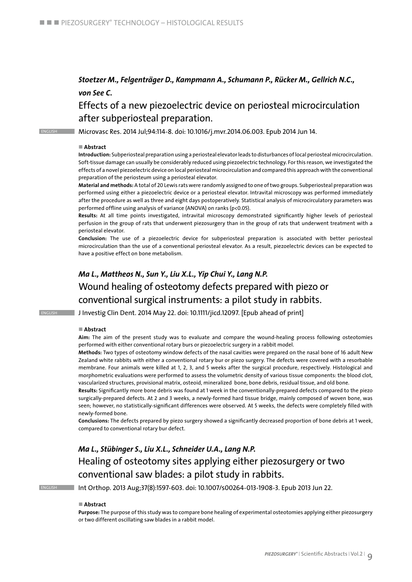### *Stoetzer M., Felgenträger D., Kampmann A., Schumann P., Rücker M., Gellrich N.C., von See C.*

### Effects of a new piezoelectric device on periosteal microcirculation after subperiosteal preparation.

english Microvasc Res. 2014 Jul;94:114-8. doi: 10.1016/j.mvr.2014.06.003. Epub 2014 Jun 14.

#### ■ Abstract

**Introduction:** Subperiosteal preparation using a periosteal elevator leads to disturbances of local periosteal microcirculation. Soft-tissue damage can usually be considerably reduced using piezoelectric technology. For this reason, we investigated the effects of a novel piezoelectric device on local periosteal microcirculation and compared this approach with the conventional preparation of the periosteum using a periosteal elevator.

**Material and methods:** A total of 20 Lewis rats were randomly assigned to one of two groups. Subperiosteal preparation was performed using either a piezoelectric device or a periosteal elevator. Intravital microscopy was performed immediately after the procedure as well as three and eight days postoperatively. Statistical analysis of microcirculatory parameters was performed offline using analysis of variance (ANOVA) on ranks (p<0.05).

**Results:** At all time points investigated, intravital microscopy demonstrated significantly higher levels of periosteal perfusion in the group of rats that underwent piezosurgery than in the group of rats that underwent treatment with a periosteal elevator.

**Conclusion:** The use of a piezoelectric device for subperiosteal preparation is associated with better periosteal microcirculation than the use of a conventional periosteal elevator. As a result, piezoelectric devices can be expected to have a positive effect on bone metabolism.

### *Ma L., Mattheos N., Sun Y., Liu X.L., Yip Chui Y., Lang N.P.* Wound healing of osteotomy defects prepared with piezo or conventional surgical instruments: a pilot study in rabbits.

**ENGLISH JInvestig Clin Dent. 2014 May 22. doi: 10.1111/jicd.12097. [Epub ahead of print]** 

#### ■ Abstract

**Aim:** The aim of the present study was to evaluate and compare the wound-healing process following osteotomies performed with either conventional rotary burs or piezoelectric surgery in a rabbit model.

**Methods:** Two types of osteotomy window defects of the nasal cavities were prepared on the nasal bone of 16 adult New Zealand white rabbits with either a conventional rotary bur or piezo surgery. The defects were covered with a resorbable membrane. Four animals were killed at 1, 2, 3, and 5 weeks after the surgical procedure, respectively. Histological and morphometric evaluations were performed to assess the volumetric density of various tissue components: the blood clot, vascularized structures, provisional matrix, osteoid, mineralized bone, bone debris, residual tissue, and old bone.

**Results:** Significantly more bone debris was found at 1 week in the conventionally-prepared defects compared to the piezo surgically-prepared defects. At 2 and 3 weeks, a newly-formed hard tissue bridge, mainly composed of woven bone, was seen; however, no statistically-significant differences were observed. At 5 weeks, the defects were completely filled with newly-formed bone.

**Conclusions:** The defects prepared by piezo surgery showed a significantly decreased proportion of bone debris at 1 week, compared to conventional rotary bur defect.

### *Ma L., Stübinger S., Liu X.L., Schneider U.A., Lang N.P.* Healing of osteotomy sites applying either piezosurgery or two conventional saw blades: a pilot study in rabbits.

english Int Orthop. 2013 Aug;37(8):1597-603. doi: 10.1007/s00264-013-1908-3. Epub 2013 Jun 22.

#### ■ Abstract

**Purpose:** The purpose of this study was to compare bone healing of experimental osteotomies applying either piezosurgery or two different oscillating saw blades in a rabbit model.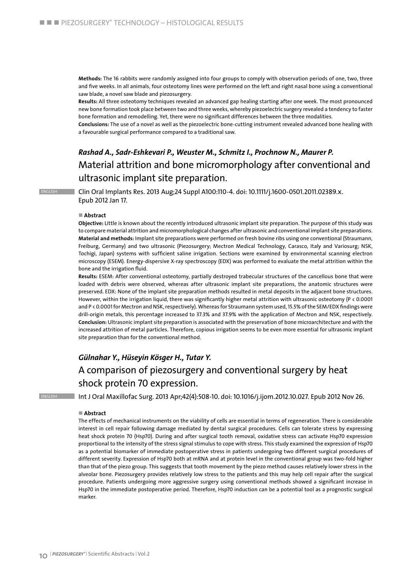**Methods:** The 16 rabbits were randomly assigned into four groups to comply with observation periods of one, two, three and five weeks. In all animals, four osteotomy lines were performed on the left and right nasal bone using a conventional saw blade, a novel saw blade and piezosurgery.

**Results:** All three osteotomy techniques revealed an advanced gap healing starting after one week. The most pronounced new bone formation took place between two and three weeks, whereby piezoelectric surgery revealed a tendency to faster bone formation and remodelling. Yet, there were no significant differences between the three modalities.

**Conclusions:** The use of a novel as well as the piezoelectric bone-cutting instrument revealed advanced bone healing with a favourable surgical performance compared to a traditional saw.

### *Rashad A., Sadr-Eshkevari P., Weuster M., Schmitz I., Prochnow N., Maurer P.* Material attrition and bone micromorphology after conventional and ultrasonic implant site preparation.

english Clin Oral Implants Res. 2013 Aug;24 Suppl A100:110-4. doi: 10.1111/j.1600-0501.2011.02389.x. Epub 2012 Jan 17.

#### ■ Abstract

**Objective:** Little is known about the recently introduced ultrasonic implant site preparation. The purpose of this study was to compare material attrition and micromorphological changes after ultrasonic and conventional implant site preparations. **Material and methods:** Implant site preparations were performed on fresh bovine ribs using one conventional (Straumann, Freiburg, Germany) and two ultrasonic (Piezosurgery; Mectron Medical Technology, Carasco, Italy and Variosurg; NSK, Tochigi, Japan) systems with sufficient saline irrigation. Sections were examined by environmental scanning electron microscopy (ESEM). Energy-dispersive X-ray spectroscopy (EDX) was performed to evaluate the metal attrition within the bone and the irrigation fluid.

**Results:** ESEM: After conventional osteotomy, partially destroyed trabecular structures of the cancellous bone that were loaded with debris were observed, whereas after ultrasonic implant site preparations, the anatomic structures were preserved. EDX: None of the implant site preparation methods resulted in metal deposits in the adjacent bone structures. However, within the irrigation liquid, there was significantly higher metal attrition with ultrasonic osteotomy (P < 0.0001 and P < 0.0001 for Mectron and NSK, respectively). Whereas for Straumann system used, 15.5% of the SEM/EDX findings were drill-origin metals, this percentage increased to 37.3% and 37.9% with the application of Mectron and NSK, respectively. **Conclusion:** Ultrasonic implant site preparation is associated with the preservation of bone microarchitecture and with the increased attrition of metal particles. Therefore, copious irrigation seems to be even more essential for ultrasonic implant site preparation than for the conventional method.

### *Gülnahar Y., Hüseyin Kösger H., Tutar Y.*  A comparison of piezosurgery and conventional surgery by heat shock protein 70 expression.

english Int J Oral Maxillofac Surg. 2013 Apr;42(4):508-10. doi: 10.1016/j.ijom.2012.10.027. Epub 2012 Nov 26.

#### ■ Abstract

The effects of mechanical instruments on the viability of cells are essential in terms of regeneration. There is considerable interest in cell repair following damage mediated by dental surgical procedures. Cells can tolerate stress by expressing heat shock protein 70 (Hsp70). During and after surgical tooth removal, oxidative stress can activate Hsp70 expression proportional to the intensity of the stress signal stimulus to cope with stress. This study examined the expression of Hsp70 as a potential biomarker of immediate postoperative stress in patients undergoing two different surgical procedures of different severity. Expression of Hsp70 both at mRNA and at protein level in the conventional group was two-fold higher than that of the piezo group. This suggests that tooth movement by the piezo method causes relatively lower stress in the alveolar bone. Piezosurgery provides relatively low stress to the patients and this may help cell repair after the surgical procedure. Patients undergoing more aggressive surgery using conventional methods showed a significant increase in Hsp70 in the immediate postoperative period. Therefore, Hsp70 induction can be a potential tool as a prognostic surgical marker.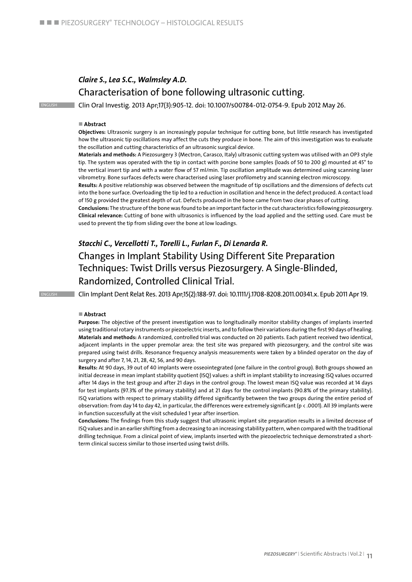### *Claire S., Lea S.C., Walmsley A.D.* Characterisation of bone following ultrasonic cutting.

English Clin Oral Investig. 2013 Apr;17(3):905-12. doi: 10.1007/s00784-012-0754-9. Epub 2012 May 26.

#### ■ Abstract

**Objectives:** Ultrasonic surgery is an increasingly popular technique for cutting bone, but little research has investigated how the ultrasonic tip oscillations may affect the cuts they produce in bone. The aim of this investigation was to evaluate the oscillation and cutting characteristics of an ultrasonic surgical device.

**Materials and methods:** A Piezosurgery 3 (Mectron, Carasco, Italy) ultrasonic cutting system was utilised with an OP3 style tip. The system was operated with the tip in contact with porcine bone samples (loads of 50 to 200 g) mounted at 45° to the vertical insert tip and with a water flow of 57 ml/min. Tip oscillation amplitude was determined using scanning laser vibrometry. Bone surfaces defects were characterised using laser profilometry and scanning electron microscopy.

**Results:** A positive relationship was observed between the magnitude of tip oscillations and the dimensions of defects cut into the bone surface. Overloading the tip led to a reduction in oscillation and hence in the defect produced. A contact load of 150 g provided the greatest depth of cut. Defects produced in the bone came from two clear phases of cutting.

**Conclusions:** The structure of the bone was found to be an important factor in the cut characteristics following piezosurgery. **Clinical relevance:** Cutting of bone with ultrasonics is influenced by the load applied and the setting used. Care must be used to prevent the tip from sliding over the bone at low loadings.

### *Stacchi C., Vercellotti T., Torelli L., Furlan F., Di Lenarda R.* Changes in Implant Stability Using Different Site Preparation Techniques: Twist Drills versus Piezosurgery. A Single-Blinded, Randomized, Controlled Clinical Trial.

ENGLISH Clin Implant Dent Relat Res. 2013 Apr;15(2):188-97. doi: 10.1111/j.1708-8208.2011.00341.x. Epub 2011 Apr 19.

#### ■ Abstract

**Purpose:** The objective of the present investigation was to longitudinally monitor stability changes of implants inserted using traditional rotary instruments or piezoelectric inserts, and to follow their variations during the first 90 days of healing. **Materials and methods:** A randomized, controlled trial was conducted on 20 patients. Each patient received two identical, adjacent implants in the upper premolar area: the test site was prepared with piezosurgery, and the control site was prepared using twist drills. Resonance frequency analysis measurements were taken by a blinded operator on the day of surgery and after 7, 14, 21, 28, 42, 56, and 90 days.

**Results:** At 90 days, 39 out of 40 implants were osseointegrated (one failure in the control group). Both groups showed an initial decrease in mean implant stability quotient (ISQ) values: a shift in implant stability to increasing ISQ values occurred after 14 days in the test group and after 21 days in the control group. The lowest mean ISQ value was recorded at 14 days for test implants (97.3% of the primary stability) and at 21 days for the control implants (90.8% of the primary stability). ISQ variations with respect to primary stability differed significantly between the two groups during the entire period of observation: from day 14 to day 42, in particular, the differences were extremely significant (p < .0001). All 39 implants were in function successfully at the visit scheduled 1 year after insertion.

**Conclusions:** The findings from this study suggest that ultrasonic implant site preparation results in a limited decrease of ISQ values and in an earlier shifting from a decreasing to an increasing stability pattern, when compared with the traditional drilling technique. From a clinical point of view, implants inserted with the piezoelectric technique demonstrated a shortterm clinical success similar to those inserted using twist drills.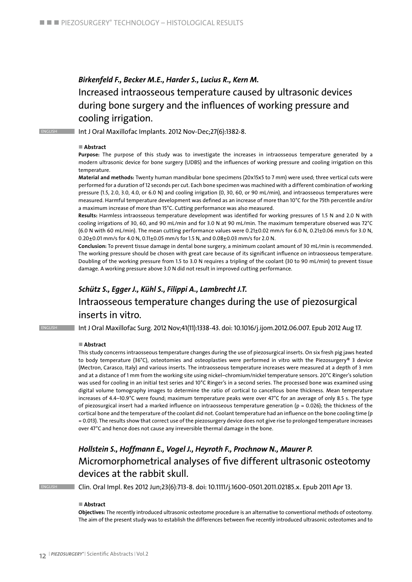### *Birkenfeld F., Becker M.E., Harder S., Lucius R., Kern M.* Increased intraosseous temperature caused by ultrasonic devices during bone surgery and the influences of working pressure and cooling irrigation.

ENGLISH **Int J Oral Maxillofac Implants. 2012 Nov-Dec;27(6):1382-8.** 

#### ■ Abstract

**Purpose:** The purpose of this study was to investigate the increases in intraosseous temperature generated by a modern ultrasonic device for bone surgery (UDBS) and the influences of working pressure and cooling irrigation on this temperature.

**Material and methods:** Twenty human mandibular bone specimens (20x15x5 to 7 mm) were used; three vertical cuts were performed for a duration of 12 seconds per cut. Each bone specimen was machined with a different combination of working pressure (1.5, 2.0, 3.0, 4.0, or 6.0 N) and cooling irrigation (0, 30, 60, or 90 mL/min), and intraosseous temperatures were measured. Harmful temperature development was defined as an increase of more than 10°C for the 75th percentile and/or a maximum increase of more than 15°C. Cutting performance was also measured.

**Results:** Harmless intraosseous temperature development was identified for working pressures of 1.5 N and 2.0 N with cooling irrigations of 30, 60, and 90 mL/min and for 3.0 N at 90 mL/min. The maximum temperature observed was 72°C (6.0 N with 60 mL/min). The mean cutting performance values were 0.21±0.02 mm/s for 6.0 N, 0.21±0.06 mm/s for 3.0 N, 0.20±0.01 mm/s for 4.0 N, 0.11±0.05 mm/s for 1.5 N, and 0.08±0.03 mm/s for 2.0 N.

**Conclusion:** To prevent tissue damage in dental bone surgery, a minimum coolant amount of 30 mL/min is recommended. The working pressure should be chosen with great care because of its significant influence on intraosseous temperature. Doubling of the working pressure from 1.5 to 3.0 N requires a tripling of the coolant (30 to 90 mL/min) to prevent tissue damage. A working pressure above 3.0 N did not result in improved cutting performance.

### *Schütz S., Egger J., Kühl S., Filippi A., Lambrecht J.T.*

### Intraosseous temperature changes during the use of piezosurgical inserts in vitro.

English Int J Oral Maxillofac Surg. 2012 Nov;41(11):1338-43. doi: 10.1016/j.ijom.2012.06.007. Epub 2012 Aug 17.

#### ■ Abstract

This study concerns intraosseous temperature changes during the use of piezosurgical inserts. On six fresh pig jaws heated to body temperature (36°C), osteotomies and osteoplasties were performed in vitro with the Piezosurgery® 3 device (Mectron, Carasco, Italy) and various inserts. The intraosseous temperature increases were measured at a depth of 3 mm and at a distance of 1 mm from the working site using nickel–chromium/nickel temperature sensors. 20°C Ringer's solution was used for cooling in an initial test series and 10°C Ringer's in a second series. The processed bone was examined using digital volume tomography images to determine the ratio of cortical to cancellous bone thickness. Mean temperature increases of 4.4–10.9°C were found; maximum temperature peaks were over 47°C for an average of only 8.5 s. The type of piezosurgical insert had a marked influence on intraosseous temperature generation ( $p = 0.026$ ); the thickness of the cortical bone and the temperature of the coolant did not. Coolant temperature had an influence on the bone cooling time (p = 0.013). The results show that correct use of the piezosurgery device does not give rise to prolonged temperature increases over 47°C and hence does not cause any irreversible thermal damage in the bone.

### *Hollstein S., Hoffmann E., Vogel J., Heyroth F., Prochnow N., Maurer P.* Micromorphometrical analyses of five different ultrasonic osteotomy devices at the rabbit skull.

english Clin. Oral Impl. Res 2012 Jun;23(6):713-8. doi: 10.1111/j.1600-0501.2011.02185.x. Epub 2011 Apr 13.

#### ■ Abstract

**Objectives:** The recently introduced ultrasonic osteotome procedure is an alternative to conventional methods of osteotomy. The aim of the present study was to establish the differences between five recently introduced ultrasonic osteotomes and to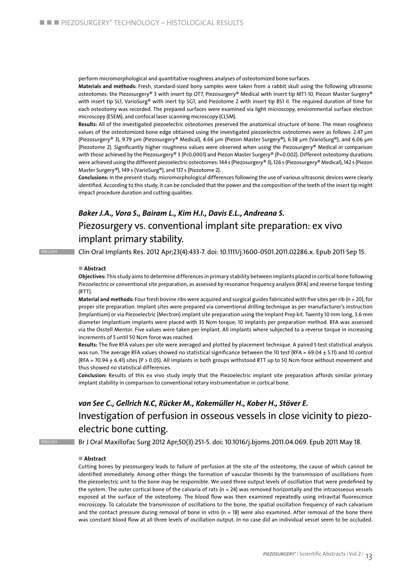perform micromorphological and quantitative roughness analyses of osteotomized bone surfaces.

**Materials and methods:** Fresh, standard-sized bony samples were taken from a rabbit skull using the following ultrasonic osteotomes: the Piezosurgery® 3 with insert tip OT7, Piezosurgery® Medical with insert tip MT1-10, Piezon Master Surgery® with insert tip SL1, VarioSurg® with inert tip SG1, and Piezotome 2 with insert tip BS1 II. The required duration of time for each osteotomy was recorded. The prepared surfaces were examined via light microscopy, environmental surface electron microscopy (ESEM), and confocal laser scanning microscopy (CLSM).

**Results:** All of the investigated piezoelectric osteotomes preserved the anatomical structure of bone. The mean roughness values of the osteotomized bone edge obtained using the investigated piezoelectric osteotomes were as follows: 2.47 μm (Piezosurgery® 3), 9.79 μm (Piezosurgery® Medical), 4.66 μm (Piezon Master Surgery®), 6.38 μm (VarioSurg®), and 6.06 μm (Piezotome 2). Significantly higher roughness values were observed when using the Piezosurgery® Medical in comparison with those achieved by the Piezosurgery® 3 (P<0.0001) and Piezon Master Surgery® (P=0.002). Different osteotomy durations were achieved using the different piezoelectric osteotomes: 144 s (Piezosurgery® 3), 126 s (Piezosurgery® Medical), 142 s (Piezon Master Surgery®), 149 s (VarioSurg®), and 137 s (Piezotome 2).

**Conclusions:** In the present study, micromorphological differences following the use of various ultrasonic devices were clearly identified. According to this study, it can be concluded that the power and the composition of the teeth of the insert tip might impact procedure duration and cutting qualities.

### *Baker J.A., Vora S., Bairam L., Kim H.I., Davis E.L., Andreana S.* Piezosurgery vs. conventional implant site preparation: ex vivo implant primary stability.

English Clin Oral Implants Res. 2012 Apr;23(4):433-7. doi: 10.1111/j.1600-0501.2011.02286.x. Epub 2011 Sep 15.

#### n **Abstract**

**Objectives:** This study aims to determine differences in primary stability between implants placed in cortical bone following Piezoelectric or conventional site preparation, as assessed by resonance frequency analysis (RFA) and reverse torque testing (RTT).

**Material and methods:** Four fresh bovine ribs were acquired and surgical guides fabricated with five sites per rib (n = 20), for proper site preparation. Implant sites were prepared via conventional drilling technique as per manufacturer's instruction (Implantium) or via Piezoelectric (Mectron) implant site preparation using the Implant Prep kit. Twenty 10 mm long, 3.6 mm diameter Implantium implants were placed with 35 Ncm torque; 10 implants per preparation method. RFA was assessed via the Osstell Mentor. Five values were taken per implant. All implants where subjected to a reverse torque in increasing increments of 5 until 50 Ncm force was reached.

**Results:** The five RFA values per site were averaged and plotted by placement technique. A paired t-test statistical analysis was run. The average RFA values showed no statistical significance between the 10 test (RFA = 69.04 ± 5.11) and 10 control (RFA = 70.94  $\pm$  6.41) sites (P > 0.05). All implants in both groups withstood RTT up to 50 Ncm force without movement and thus showed no statistical differences.

**Conclusion:** Results of this ex vivo study imply that the Piezoelectric implant site preparation affords similar primary implant stability in comparison to conventional rotary instrumentation in cortical bone.

### *von See C., Gellrich N.C, Rücker M., Kokemüller H., Kober H., Stöver E.* Investigation of perfusion in osseous vessels in close vicinity to piezoelectric bone cutting.

English Br J Oral Maxillofac Surg 2012 Apr;50(3):251-5. doi: 10.1016/j.bjoms.2011.04.069. Epub 2011 May 18.

#### n **Abstract**

Cutting bones by piezosurgery leads to failure of perfusion at the site of the osteotomy, the cause of which cannot be identified immediately. Among other things the formation of vascular thrombi by the transmission of oscillations from the piezoelectric unit to the bone may be responsible. We used three output levels of oscillation that were predefined by the system. The outer cortical bone of the calvaria of rats ( $n = 24$ ) was removed horizontally and the intraosseous vessels exposed at the surface of the osteotomy. The blood flow was then examined repeatedly using intravital fluorescence microscopy. To calculate the transmission of oscillations to the bone, the spatial oscillation frequency of each calvarium and the contact pressure during removal of bone in vitro ( $n = 18$ ) were also examined. After removal of the bone there was constant blood flow at all three levels of oscillation output. In no case did an individual vessel seem to be occluded.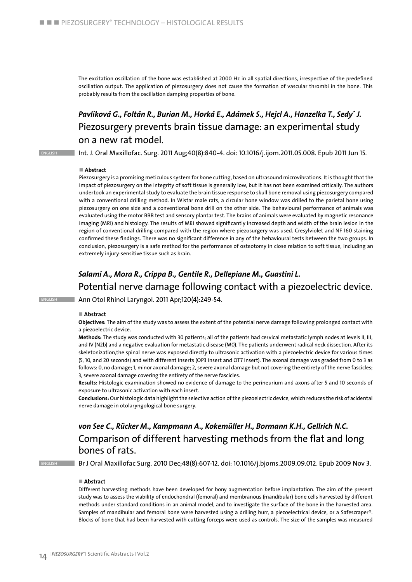The excitation oscillation of the bone was established at 2000 Hz in all spatial directions, irrespective of the predefined oscillation output. The application of piezosurgery does not cause the formation of vascular thrombi in the bone. This probably results from the oscillation damping properties of bone.

### *Pavlíková G., Foltán R., Burian M., Horká E., Adámek S., Hejcl A., Hanzelka T., Sedy´ J.* Piezosurgery prevents brain tissue damage: an experimental study on a new rat model.

English Int. J. Oral Maxillofac. Surg. 2011 Aug;40(8):840-4. doi: 10.1016/j.ijom.2011.05.008. Epub 2011 Jun 15.

#### ■ Abstract

Piezosurgery is a promising meticulous system for bone cutting, based on ultrasound microvibrations. It is thought that the impact of piezosurgery on the integrity of soft tissue is generally low, but it has not been examined critically. The authors undertook an experimental study to evaluate the brain tissue response to skull bone removal using piezosurgery compared with a conventional drilling method. In Wistar male rats, a circular bone window was drilled to the parietal bone using piezosurgery on one side and a conventional bone drill on the other side. The behavioural performance of animals was evaluated using the motor BBB test and sensory plantar test. The brains of animals were evaluated by magnetic resonance imaging (MRI) and histology. The results of MRI showed significantly increased depth and width of the brain lesion in the region of conventional drilling compared with the region where piezosurgery was used. Cresylviolet and NF 160 staining confirmed these findings. There was no significant difference in any of the behavioural tests between the two groups. In conclusion, piezosurgery is a safe method for the performance of osteotomy in close relation to soft tissue, including an extremely injury-sensitive tissue such as brain.

### *Salami A., Mora R., Crippa B., Gentile R., Dellepiane M., Guastini L.* Potential nerve damage following contact with a piezoelectric device.

ENGLISH **Ann Otol Rhinol Laryngol. 2011 Apr**;120(4):249-54.

#### ■ Abstract

**Objectives:** The aim of the study was to assess the extent of the potential nerve damage following prolonged contact with a piezoelectric device.

**Methods:** The study was conducted with 30 patients; all of the patients had cervical metastatic lymph nodes at levels II, III, and IV (N2b) and a negative evaluation for metastatic disease (M0). The patients underwent radical neck dissection. After its skeletonization,the spinal nerve was exposed directly to ultrasonic activation with a piezoelectric device for various times (5, 10, and 20 seconds) and with different inserts (OP3 insert and OT7 insert). The axonal damage was graded from 0 to 3 as follows: 0, no damage; 1, minor axonal damage; 2, severe axonal damage but not covering the entirety of the nerve fascicles; 3, severe axonal damage covering the entirety of the nerve fascicles.

**Results:** Histologic examination showed no evidence of damage to the perineurium and axons after 5 and 10 seconds of exposure to ultrasonic activation with each insert.

**Conclusions:** Our histologic data highlight the selective action of the piezoelectric device, which reduces the risk of acidental nerve damage in otolaryngological bone surgery.

### *von See C., Rücker M., Kampmann A., Kokemüller H., Bormann K.H., Gellrich N.C.* Comparison of different harvesting methods from the flat and long bones of rats.

ENGLISH Br J Oral Maxillofac Surg. 2010 Dec;48(8):607-12. doi: 10.1016/j.bjoms.2009.09.012. Epub 2009 Nov 3.

#### ■ Abstract

Different harvesting methods have been developed for bony augmentation before implantation. The aim of the present study was to assess the viability of endochondral (femoral) and membranous (mandibular) bone cells harvested by different methods under standard conditions in an animal model, and to investigate the surface of the bone in the harvested area. Samples of mandibular and femoral bone were harvested using a drilling burr, a piezoelectrical device, or a Safescraper®. Blocks of bone that had been harvested with cutting forceps were used as controls. The size of the samples was measured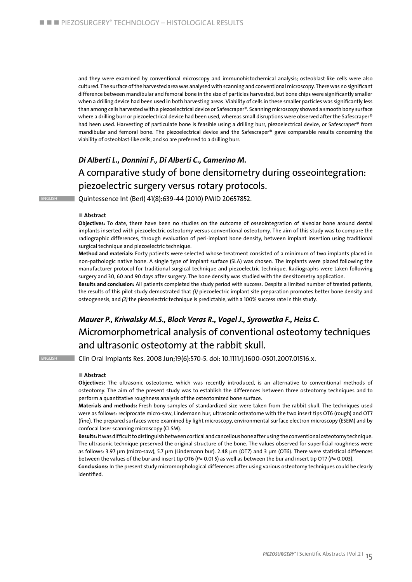and they were examined by conventional microscopy and immunohistochemical analysis; osteoblast-like cells were also cultured. The surface of the harvested area was analysed with scanning and conventional microscopy. There was no significant difference between mandibular and femoral bone in the size of particles harvested, but bone chips were significantly smaller when a drilling device had been used in both harvesting areas. Viability of cells in these smaller particles was significantly less than among cells harvested with a piezoelectrical device or Safescraper®. Scanning microscopy showed a smooth bony surface where a drilling burr or piezoelectrical device had been used, whereas small disruptions were observed after the Safescraper® had been used. Harvesting of particulate bone is feasible using a drilling burr, piezoelectrical device, or Safescraper® from mandibular and femoral bone. The piezoelectrical device and the Safescraper® gave comparable results concerning the viability of osteoblast-like cells, and so are preferred to a drilling burr.

### *Di Alberti L., Donnini F., Di Alberti C., Camerino M.* A comparative study of bone densitometry during osseointegration: piezoelectric surgery versus rotary protocols.

english Quintessence Int (Berl) 41(8):639-44 (2010) PMID 20657852.

#### ■ Abstract

**Objectives:** To date, there have been no studies on the outcome of osseointegration of alveolar bone around dental implants inserted with piezoelectric osteotomy versus conventional osteotomy. The aim of this study was to compare the radiographic differences, through evaluation of peri-implant bone density, between implant insertion using traditional surgical technique and piezoelectric technique.

**Method and materials:** Forty patients were selected whose treatment consisted of a minimum of two implants placed in non-pathologic native bone. A single type of implant surface (SLA) was chosen. The implants were placed following the manufacturer protocol for traditional surgical technique and piezoelectric technique. Radiographs were taken following surgery and 30, 60 and 90 days after surgery. The bone density was studied with the densitometry application.

**Results and conclusion:** All patients completed the study period with success. Despite a limited number of treated patients, the results of this pilot study demostrated that *(1)* piezoelectric implant site preparation promotes better bone density and osteogenesis, and *(2)* the piezoelectric technique is predictable, with a 100% success rate in this study.

### *Maurer P., Kriwalsky M.S., Block Veras R., Vogel J., Syrowatka F., Heiss C.* Micromorphometrical analysis of conventional osteotomy techniques and ultrasonic osteotomy at the rabbit skull.

english Clin Oral Implants Res. 2008 Jun;19(6):570-5. doi: 10.1111/j.1600-0501.2007.01516.x.

#### n **Abstract**

**Objectives:** The ultrasonic osteotome, which was recently introduced, is an alternative to conventional methods of osteotomy. The aim of the present study was to establish the differences between three osteotomy techniques and to perform a quantitative roughness analysis of the osteotomized bone surface.

**Materials and methods:** Fresh bony samples of standardized size were taken from the rabbit skull. The techniques used were as follows: reciprocate micro-saw, Lindemann bur, ultrasonic osteatome with the two insert tips OT6 (rough) and OT7 (fine). The prepared surfaces were examined by light microscopy, environmental surface electron microscopy (ESEM) and by confocal laser scanning microscopy (CLSM).

**Results:** It was difficult to distinguish between cortical and cancellous bone after using the conventional osteotomy technique. The ultrasonic technique preserved the original structure of the bone. The values observed for superficial roughness were as follows: 3.97 µm (micro·saw), 5.7 µm (Lindemann bur). 2.48 µm (OT7) and 3 µm (OT6). There were statistical diffeences between the values of the bur and insert tip OT6 (*P=* 0.01 5) as well as between the bur and insert tip OT7 (*P=* 0.003).

**Conclusions:** In the present study micromorphological differences after using various osteotomy techniques could be clearly identified.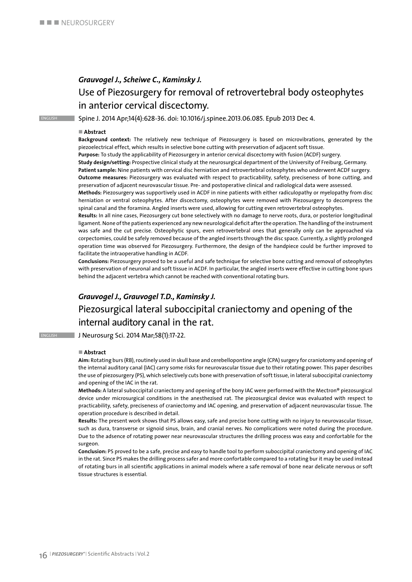### *Grauvogel J., Scheiwe C., Kaminsky J.*  Use of Piezosurgery for removal of retrovertebral body osteophytes in anterior cervical discectomy.

english Spine J. 2014 Apr;14(4):628-36. doi: 10.1016/j.spinee.2013.06.085. Epub 2013 Dec 4.

#### ■ Abstract

**Background context:** The relatively new technique of Piezosurgery is based on microvibrations, generated by the piezoelectrical effect, which results in selective bone cutting with preservation of adjacent soft tissue.

**Purpose:** To study the applicability of Piezosurgery in anterior cervical discectomy with fusion (ACDF) surgery.

**Study design/setting:** Prospective clinical study at the neurosurgical department of the University of Freiburg, Germany. **Patient sample:** Nine patients with cervical disc herniation and retrovertebral osteophytes who underwent ACDF surgery. **Outcome measures:** Piezosurgery was evaluated with respect to practicability, safety, preciseness of bone cutting, and preservation of adjacent neurovascular tissue. Pre- and postoperative clinical and radiological data were assessed. **Methods:** Piezosurgery was supportively used in ACDF in nine patients with either radiculopathy or myelopathy from disc

herniation or ventral osteophytes. After discectomy, osteophytes were removed with Piezosurgery to decompress the spinal canal and the foramina. Angled inserts were used, allowing for cutting even retrovertebral osteophytes.

**Results:** In all nine cases, Piezosurgery cut bone selectively with no damage to nerve roots, dura, or posterior longitudinal ligament. None of the patients experienced any new neurological deficit after the operation. The handling of the instrument was safe and the cut precise. Osteophytic spurs, even retrovertebral ones that generally only can be approached via corpectomies, could be safely removed because of the angled inserts through the disc space. Currently, a slightly prolonged operation time was observed for Piezosurgery. Furthermore, the design of the handpiece could be further improved to facilitate the intraoperative handling in ACDF.

**Conclusions:** Piezosurgery proved to be a useful and safe technique for selective bone cutting and removal of osteophytes with preservation of neuronal and soft tissue in ACDF. In particular, the angled inserts were effective in cutting bone spurs behind the adjacent vertebra which cannot be reached with conventional rotating burs.

### *Grauvogel J., Grauvogel T.D., Kaminsky J.*  Piezosurgical lateral suboccipital craniectomy and opening of the internal auditory canal in the rat.

**ENGLISH J Neurosurg Sci. 2014 Mar;58(1):17-22.** 

#### ■ Abstract

**Aim:** Rotating burs (RB), routinely used in skull base and cerebellopontine angle (CPA) surgery for craniotomy and opening of the internal auditory canal (IAC) carry some risks for neurovascular tissue due to their rotating power. This paper describes the use of piezosurgery (PS), which selectively cuts bone with preservation of soft tissue, in lateral suboccipital craniectomy and opening of the IAC in the rat.

**Methods:** A lateral suboccipital craniectomy and opening of the bony IAC were performed with the Mectron® piezosurgical device under microsurgical conditions in the anesthezised rat. The piezosurgical device was evaluated with respect to practicability, safety, preciseness of craniectomy and IAC opening, and preservation of adjacent neurovascular tissue. The operation procedure is described in detail.

**Results:** The present work shows that PS allows easy, safe and precise bone cutting with no injury to neurovascular tissue, such as dura, transverse or signoid sinus, brain, and cranial nerves. No complications were noted during the procedure. Due to the adsence of rotating power near neurovascular structures the drilling process was easy and confortable for the surgeon.

**Conclusion:** PS proved to be a safe, precise and easy to handle tool to perform suboccipital craniectomy and opening of IAC in the rat. Since PS makes the drilling process safer and more confortable compared to a rotating bur it may be used instead of rotating burs in all scientific applications in animal models where a safe removal of bone near delicate nervous or soft tissue structures is essential.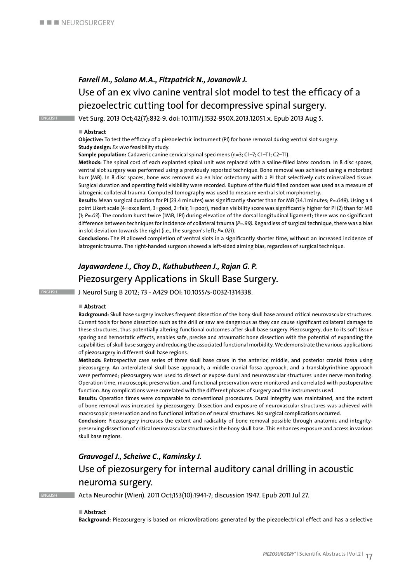### *Farrell M., Solano M.A., Fitzpatrick N., Jovanovik J.* Use of an ex vivo canine ventral slot model to test the efficacy of a piezoelectric cutting tool for decompressive spinal surgery.

english Vet Surg. 2013 Oct;42(7):832-9. doi: 10.1111/j.1532-950X.2013.12051.x. Epub 2013 Aug 5.

#### ■ Abstract

**Objective:** To test the efficacy of a piezoelectric instrument (PI) for bone removal during ventral slot surgery. **Study design:** *Ex vivo* feasibility study.

**Sample population:** Cadaveric canine cervical spinal specimens (n=3; C1–7; C1–T1; C2–T1).

**Methods:** The spinal cord of each explanted spinal unit was replaced with a saline-filled latex condom. In 8 disc spaces, ventral slot surgery was performed using a previously reported technique. Bone removal was achieved using a motorized burr (MB). In 8 disc spaces, bone was removed via en bloc ostectomy with a PI that selectively cuts mineralized tissue. Surgical duration and operating field visibility were recorded. Rupture of the fluid filled condom was used as a measure of iatrogenic collateral trauma. Computed tomography was used to measure ventral slot morphometry.

**Results**: Mean surgical duration for PI (23.4 minutes) was significantly shorter than for MB (34.1 minutes; *P=.049*). Using a 4 point Likert scale (4=excellent, 3=good, 2=fair, 1=poor), median visibility score was significantly higher for PI (2) than for MB (1; *P=.03*). The condom burst twice (1MB, 1PI) during elevation of the dorsal longitudinal ligament; there was no significant difference between techniques for incidence of collateral trauma (*P=.99)*. Regardless of surgical technique, there was a bias in slot deviation towards the right (i.e., the surgeon's left; *P=.021*).

**Conclusions:** The PI allowed completion of ventral slots in a significantly shorter time, without an increased incidence of iatrogenic trauma. The right-handed surgeon showed a left-sided aiming bias, regardless of surgical technique.

### *Jayawardene J., Choy D., Kuthubutheen J., Rajan G. P.* Piezosurgery Applications in Skull Base Surgery.

english J Neurol Surg B 2012; 73 - A429 DOI: 10.1055/s-0032-1314338.

#### ■ Abstract

**Background:** Skull base surgery involves frequent dissection of the bony skull base around critical neurovascular structures. Current tools for bone dissection such as the drill or saw are dangerous as they can cause significant collateral damage to these structures, thus potentially altering functional outcomes after skull base surgery. Piezosurgery, due to its soft tissue sparing and hemostatic effects, enables safe, precise and atraumatic bone dissection with the potential of expanding the capabilities of skull base surgery and reducing the associated functional morbidity. We demonstrate the various applications of piezosurgery in different skull base regions.

**Methods:** Retrospective case series of three skull base cases in the anterior, middle, and posterior cranial fossa using piezosurgery. An anterolateral skull base approach, a middle cranial fossa approach, and a translabyrinthine approach were performed; piezosurgery was used to dissect or expose dural and neurovascular structures under nerve monitoring. Operation time, macroscopic preservation, and functional preservation were monitored and correlated with postoperative function. Any complications were correlated with the different phases of surgery and the instruments used.

**Results:** Operation times were comparable to conventional procedures. Dural integrity was maintained, and the extent of bone removal was increased by piezosurgery. Dissection and exposure of neurovascular structures was achieved with macroscopic preservation and no functional irritation of neural structures. No surgical complications occurred.

**Conclusion:** Piezosurgery increases the extent and radicality of bone removal possible through anatomic and integritypreserving dissection of critical neurovascular structures in the bony skull base. This enhances exposure and access in various skull base regions.

### *Grauvogel J., Scheiwe C., Kaminsky J.* Use of piezosurgery for internal auditory canal drilling in acoustic

### neuroma surgery.

english Acta Neurochir (Wien). 2011 Oct;153(10):1941-7; discussion 1947. Epub 2011 Jul 27.

#### ■ Abstract

**Background:** Piezosurgery is based on microvibrations generated by the piezoelectrical effect and has a selective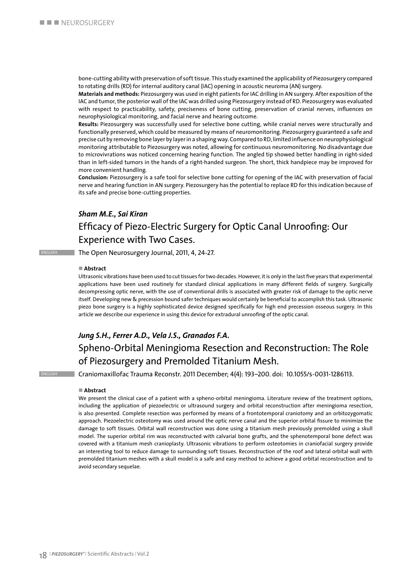bone-cutting ability with preservation of soft tissue. This study examined the applicability of Piezosurgery compared to rotating drills (RD) for internal auditory canal (IAC) opening in acoustic neuroma (AN) surgery.

**Materials and methods:** Piezosurgery was used in eight patients for IAC drilling in AN surgery. After exposition of the IAC and tumor, the posterior wall of the IAC was drilled using Piezosurgery instead of RD. Piezosurgery was evaluated with respect to practicability, safety, preciseness of bone cutting, preservation of cranial nerves, influences on neurophysiological monitoring, and facial nerve and hearing outcome.

**Results:** Piezosurgery was successfully used for selective bone cutting, while cranial nerves were structurally and functionally preserved, which could be measured by means of neuromonitoring. Piezosurgery guaranteed a safe and precise cut by removing bone layer by layer in a shaping way. Compared to RD, limited influence on neurophysiological monitoring attributable to Piezosurgery was noted, allowing for continuous neuromonitoring. No disadvantage due to microvivrations was noticed concerning hearing function. The angled tip showed better handling in right-sided than in left-sided tumors in the hands of a right-handed surgeon. The short, thick handpiece may be improved for more convenient handling.

**Conclusion:** Piezosurgery is a safe tool for selective bone cutting for opening of the IAC with preservation of facial nerve and hearing function in AN surgery. Piezosurgery has the potential to replace RD for this indication because of its safe and precise bone-cutting properties.

### *Sham M.E., Sai Kiran* Efficacy of Piezo-Electric Surgery for Optic Canal Unroofing: Our Experience with Two Cases.

**ENGLISH The Open Neurosurgery Journal, 2011, 4, 24-27.** 

#### n **Abstract**

Ultrasonic vibrations have been used to cut tissues for two decades. However, it is only in the last five years that experimental applications have been used routinely for standard clinical applications in many different fields of surgery. Surgically decompressing optic nerve, with the use of conventional drills is associated with greater risk of damage to the optic nerve itself. Developing new & precession bound safer techniques would certainly be beneficial to accomplish this task. Ultrasonic piezo bone surgery is a highly sophisticated device designed specifically for high end precession osseous surgery. In this article we describe our experience in using this device for extradural unroofing of the optic canal.

### *Jung S.H., Ferrer A.D., Vela J.S., Granados F.A.*

### Spheno-Orbital Meningioma Resection and Reconstruction: The Role of Piezosurgery and Premolded Titanium Mesh.

english Craniomaxillofac Trauma Reconstr. 2011 December; 4(4): 193–200. doi: 10.1055/s-0031-1286113.

#### ■ Abstract

We present the clinical case of a patient with a spheno-orbital meningioma. Literature review of the treatment options, including the application of piezoelectric or ultrasound surgery and orbital reconstruction after meningioma resection, is also presented. Complete resection was performed by means of a frontotemporal craniotomy and an orbitozygomatic approach. Piezoelectric osteotomy was used around the optic nerve canal and the superior orbital fissure to minimize the damage to soft tissues. Orbital wall reconstruction was done using a titanium mesh previously premolded using a skull model. The superior orbital rim was reconstructed with calvarial bone grafts, and the sphenotemporal bone defect was covered with a titanium mesh cranioplasty. Ultrasonic vibrations to perform osteotomies in craniofacial surgery provide an interesting tool to reduce damage to surrounding soft tissues. Reconstruction of the roof and lateral orbital wall with premolded titanium meshes with a skull model is a safe and easy method to achieve a good orbital reconstruction and to avoid secondary sequelae.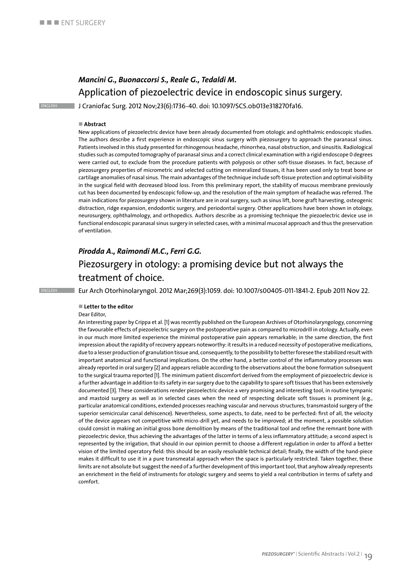### *Mancini G., Buonaccorsi S., Reale G., Tedaldi M.* Application of piezoelectric device in endoscopic sinus surgery.

english J Craniofac Surg. 2012 Nov;23(6):1736-40. doi: 10.1097/SCS.0b013e318270fa16.

### ■ Abstract

New applications of piezoelectric device have been already documented from otologic and ophthalmic endoscopic studies. The authors describe a first experience in endoscopic sinus surgery with piezosurgery to approach the paranasal sinus. Patients involved in this study presented for rhinogenous headache, rhinorrhea, nasal obstruction, and sinusitis. Radiological studies such as computed tomography of paranasal sinus and a correct clinical examination with a rigid endoscope 0 degrees were carried out, to exclude from the procedure patients with polyposis or other soft-tissue diseases. In fact, because of piezosurgery properties of micrometric and selected cutting on mineralized tissues, it has been used only to treat bone or cartilage anomalies of nasal sinus. The main advantages of the technique include soft-tissue protection and optimal visibility in the surgical field with decreased blood loss. From this preliminary report, the stability of mucous membrane previously cut has been documented by endoscopic follow-up, and the resolution of the main symptom of headache was referred. The main indications for piezosurgery shown in literature are in oral surgery, such as sinus lift, bone graft harvesting, osteogenic distraction, ridge expansion, endodontic surgery, and periodontal surgery. Other applications have been shown in otology, neurosurgery, ophthalmology, and orthopedics. Authors describe as a promising technique the piezoelectric device use in functional endoscopic paranasal sinus surgery in selected cases, with a minimal mucosal approach and thus the preservation of ventilation.

### *Pirodda A., Raimondi M.C., Ferri G.G.* Piezosurgery in otology: a promising device but not always the treatment of choice.

### english Eur Arch Otorhinolaryngol. 2012 Mar;269(3):1059. doi: 10.1007/s00405-011-1841-2. Epub 2011 Nov 22.

#### ■ Letter to the editor

#### Dear Editor,

An interesting paper by Crippa et al. [1] was recently published on the European Archives of Otorhinolaryngology, concerning the favourable effects of piezoelectric surgery on the postoperative pain as compared to microdrill in otology. Actually, even in our much more limited experience the minimal postoperative pain appears remarkable; in the same direction, the first impression about the rapidity of recovery appears noteworthy: it results in a reduced necessity of postoperative medications, due to a lesser production of granulation tissue and, consequently, to the possibility to better foresee the stabilized result with important anatomical and functional implications. On the other hand, a better control of the inflammatory processes was already reported in oral surgery [2] and appears reliable according to the observations about the bone formation subsequent to the surgical trauma reported [1]. The minimum patient discomfort derived from the employment of piezoelectric device is a further advantage in addition to its safety in ear surgery due to the capability to spare soft tissues that has been extensively documented [3]. These considerations render piezoelectric device a very promising and interesting tool, in routine tympanic and mastoid surgery as well as in selected cases when the need of respecting delicate soft tissues is prominent (e.g., particular anatomical conditions, extended processes reaching vascular and nervous structures, transmastoid surgery of the superior semicircular canal dehiscence). Nevertheless, some aspects, to date, need to be perfected: first of all, the velocity of the device appears not competitive with micro-drill yet, and needs to be improved; at the moment, a possible solution could consist in making an initial gross bone demolition by means of the traditional tool and refine the remnant bone with piezoelectric device, thus achieving the advantages of the latter in terms of a less inflammatory attitude; a second aspect is represented by the irrigation, that should in our opinion permit to choose a different regulation in order to afford a better vision of the limited operatory field: this should be an easily resolvable technical detail; finally, the width of the hand-piece makes it difficult to use it in a pure transmeatal approach when the space is particularly restricted. Taken together, these limits are not absolute but suggest the need of a further development of this important tool, that anyhow already represents an enrichment in the field of instruments for otologic surgery and seems to yield a real contribution in terms of safety and comfort.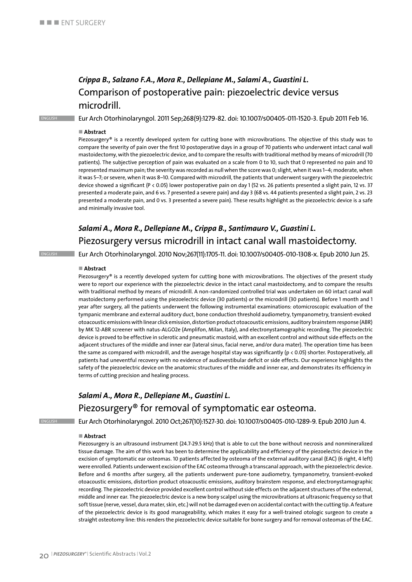### *Crippa B., Salzano F.A., Mora R., Dellepiane M., Salami A., Guastini L.* Comparison of postoperative pain: piezoelectric device versus microdrill.

english Eur Arch Otorhinolaryngol. 2011 Sep;268(9):1279-82. doi: 10.1007/s00405-011-1520-3. Epub 2011 Feb 16.

#### ■ Abstract

Piezosurgery® is a recently developed system for cutting bone with microvibrations. The objective of this study was to compare the severity of pain over the first 10 postoperative days in a group of 70 patients who underwent intact canal wall mastoidectomy, with the piezoelectric device, and to compare the results with traditional method by means of microdrill (70 patients). The subjective perception of pain was evaluated on a scale from 0 to 10, such that 0 represented no pain and 10 represented maximum pain; the severity was recorded as null when the score was 0; slight, when it was 1–4; moderate, when it was 5–7; or severe, when it was 8–10. Compared with microdrill, the patients that underwent surgery with the piezoelectric device showed a significant (P < 0.05) lower postoperative pain on day 1 (52 vs. 26 patients presented a slight pain, 12 vs. 37 presented a moderate pain, and 6 vs. 7 presented a severe pain) and day 3 (68 vs. 44 patients presented a slight pain, 2 vs. 23 presented a moderate pain, and 0 vs. 3 presented a severe pain). These results highlight as the piezoelectric device is a safe and minimally invasive tool.

### *Salami A., Mora R., Dellepiane M., Crippa B., Santimauro V., Guastini L.* Piezosurgery versus microdrill in intact canal wall mastoidectomy.

english Eur Arch Otorhinolaryngol. 2010 Nov;267(11):1705-11. doi: 10.1007/s00405-010-1308-x. Epub 2010 Jun 25.

#### n **Abstract**

Piezosurgery® is a recently developed system for cutting bone with microvibrations. The objectives of the present study were to report our experience with the piezoelectric device in the intact canal mastoidectomy, and to compare the results with traditional method by means of microdrill. A non-randomized controlled trial was undertaken on 60 intact canal wall mastoidectomy performed using the piezoelectric device (30 patients) or the microdrill (30 patients). Before 1 month and 1 year after surgery, all the patients underwent the following instrumental examinations: otomicroscopic evaluation of the tympanic membrane and external auditory duct, bone conduction threshold audiometry, tympanometry, transient-evoked otoacoustic emissions with linear click emission, distortion product otoacoustic emissions, auditory brainstem response (ABR) by MK 12-ABR screener with natus-ALGO2e (Amplifon, Milan, Italy), and electronystamographic recording. The piezoelectric device is proved to be effective in sclerotic and pneumatic mastoid, with an excellent control and without side effects on the adjacent structures of the middle and inner ear (lateral sinus, facial nerve, and/or dura mater). The operation time has been the same as compared with microdrill, and the average hospital stay was significantly (p < 0.05) shorter. Postoperatively, all patients had uneventful recovery with no evidence of audiovestibular deficit or side effects. Our experience highlights the safety of the piezoelectric device on the anatomic structures of the middle and inner ear, and demonstrates its efficiency in terms of cutting precision and healing process.

### *Salami A., Mora R., Dellepiane M., Guastini L.* Piezosurgery® for removal of symptomatic ear osteoma.

english Eur Arch Otorhinolaryngol. 2010 Oct;267(10):1527-30. doi: 10.1007/s00405-010-1289-9. Epub 2010 Jun 4.

#### ■ Abstract

Piezosurgery is an ultrasound instrument (24.7-29.5 kHz) that is able to cut the bone without necrosis and nonmineralized tissue damage. The aim of this work has been to determine the applicability and efficiency of the piezoelectric device in the excision of symptomatic ear osteomas. 10 patients affected by osteoma of the external auditory canal (EAC) (6 right, 4 left) were enrolled. Patients underwent excision of the EAC osteoma through a transcanal approach, with the piezoelectric device. Before and 6 months after surgery, all the patients underwent pure-tone audiometry, tympanometry, transient-evoked otoacoustic emissions, distortion product otoacoustic emissions, auditory brainstem response, and electronystamographic recording. The piezoelectric device provided excellent control without side effects on the adjacent structures of the external, middle and inner ear. The piezoelectric device is a new bony scalpel using the microvibrations at ultrasonic frequency so that soft tissue (nerve, vessel, dura mater, skin, etc.) will not be damaged even on accidental contact with the cutting tip. A feature of the piezoelectric device is its good manageability, which makes it easy for a well-trained otologic surgeon to create a straight osteotomy line: this renders the piezoelectric device suitable for bone surgery and for removal osteomas of the EAC.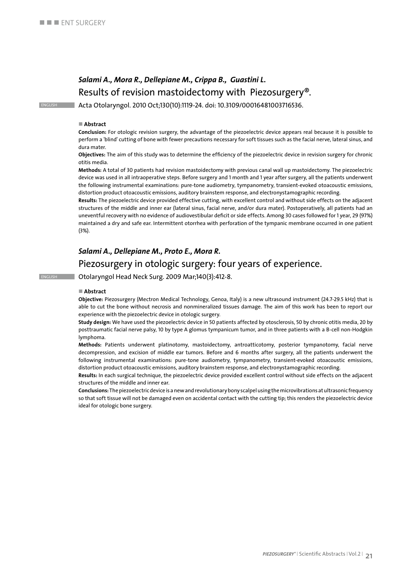### *Salami A., Mora R., Dellepiane M., Crippa B., Guastini L.* Results of revision mastoidectomy with Piezosurgery®.

english Acta Otolaryngol. 2010 Oct;130(10):1119-24. doi: 10.3109/00016481003716536.

#### ■ Abstract

**Conclusion:** For otologic revision surgery, the advantage of the piezoelectric device appears real because it is possible to perform a 'blind' cutting of bone with fewer precautions necessary for soft tissues such as the facial nerve, lateral sinus, and dura mater.

**Objectives:** The aim of this study was to determine the efficiency of the piezoelectric device in revision surgery for chronic otitis media.

**Methods:** A total of 30 patients had revision mastoidectomy with previous canal wall up mastoidectomy. The piezoelectric device was used in all intraoperative steps. Before surgery and 1 month and 1 year after surgery, all the patients underwent the following instrumental examinations: pure-tone audiometry, tympanometry, transient-evoked otoacoustic emissions, distortion product otoacoustic emissions, auditory brainstem response, and electronystamographic recording.

**Results:** The piezoelectric device provided effective cutting, with excellent control and without side effects on the adjacent structures of the middle and inner ear (lateral sinus, facial nerve, and/or dura mater). Postoperatively, all patients had an uneventful recovery with no evidence of audiovestibular deficit or side effects. Among 30 cases followed for 1 year, 29 (97%) maintained a dry and safe ear. Intermittent otorrhea with perforation of the tympanic membrane occurred in one patient (3%).

### *Salami A., Dellepiane M., Proto E., Mora R.* Piezosurgery in otologic surgery: four years of experience.

english Otolaryngol Head Neck Surg. 2009 Mar;140(3):412-8.

#### n **Abstract**

**Objective:** Piezosurgery (Mectron Medical Technology, Genoa, Italy) is a new ultrasound instrument (24.7-29.5 kHz) that is able to cut the bone without necrosis and nonmineralized tissues damage. The aim of this work has been to report our experience with the piezoelectric device in otologic surgery.

**Study design:** We have used the piezoelectric device in 50 patients affected by otosclerosis, 50 by chronic otitis media, 20 by posttraumatic facial nerve palsy, 10 by type A glomus tympanicum tumor, and in three patients with a B-cell non-Hodgkin lymphoma.

**Methods:** Patients underwent platinotomy, mastoidectomy, antroatticotomy, posterior tympanotomy, facial nerve decompression, and excision of middle ear tumors. Before and 6 months after surgery, all the patients underwent the following instrumental examinations: pure-tone audiometry, tympanometry, transient-evoked otoacoustic emissions, distortion product otoacoustic emissions, auditory brainstem response, and electronystamographic recording.

**Results:** In each surgical technique, the piezoelectric device provided excellent control without side effects on the adjacent structures of the middle and inner ear.

**Conclusions:** The piezoelectric device is a new and revolutionary bony scalpel using the microvibrations at ultrasonic frequency so that soft tissue will not be damaged even on accidental contact with the cutting tip; this renders the piezoelectric device ideal for otologic bone surgery.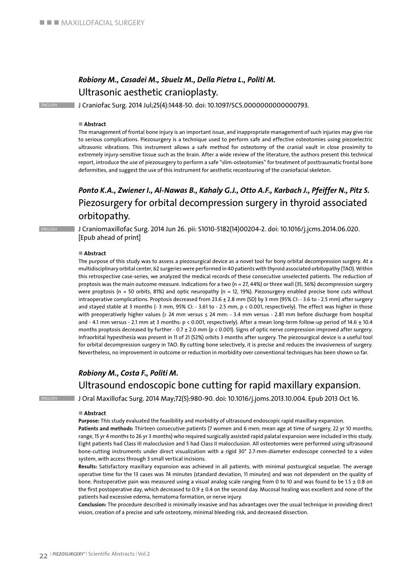### *Robiony M., Casadei M., Sbuelz M., Della Pietra L., Politi M.* Ultrasonic aesthetic cranioplasty.

ENGLISH J Craniofac Surg. 2014 Jul;25(4):1448-50. doi: 10.1097/SCS.0000000000000793.

#### ■ Abstract

The management of frontal bone injury is an important issue, and inappropriate management of such injuries may give rise to serious complications. Piezosurgery is a technique used to perform safe and effective osteotomies using piezoelectric ultrasonic vibrations. This instrument allows a safe method for osteotomy of the cranial vault in close proximity to extremely injury-sensitive tissue such as the brain. After a wide review of the literature, the authors present this technical report, introduce the use of piezosurgery to perform a safe "slim-osteotomies" for treatment of posttraumatic frontal bone deformities, and suggest the use of this instrument for aesthetic recontouring of the craniofacial skeleton.

### *Ponto K.A., Zwiener I., Al-Nawas B., Kahaly G.J., Otto A.F., Karbach J., Pfeiffer N., Pitz S.* Piezosurgery for orbital decompression surgery in thyroid associated orbitopathy.

ENGLISH J Craniomaxillofac Surg. 2014 Jun 26. pii: S1010-5182(14)00204-2. doi: 10.1016/j.jcms.2014.06.020. [Epub ahead of print]

#### n **Abstract**

The purpose of this study was to assess a piezosurgical device as a novel tool for bony orbital decompression surgery. At a multidisciplinary orbital center, 62 surgeries were performed in 40 patients with thyroid associated orbitopathy (TAO). Within this retrospective case-series, we analyzed the medical records of these consecutive unselected patients. The reduction of proptosis was the main outcome measure. Indications for a two (n = 27, 44%) or three wall (35, 56%) decompression surgery were proptosis (n = 50 orbits, 81%) and optic neuropathy (n = 12, 19%). Piezosurgery enabled precise bone cuts without intraoperative complications. Proptosis decreased from 23.6 ± 2.8 mm (SD) by 3 mm (95% CI: - 3.6 to - 2.5 mm) after surgery and stayed stable at 3 months (- 3 mm, 95% CI: - 3.61 to - 2.5 mm, p < 0.001, respectively). The effect was higher in those with preoperatively higher values (> 24 mm versus ≤ 24 mm: - 3.4 mm versus - 2.81 mm before discharge from hospital and - 4.1 mm versus - 2.1 mm at 3 months:  $p < 0.001$ , respectively). After a mean long-term follow-up period of 14.6  $\pm$  10.4 months proptosis decreased by further - 0.7  $\pm$  2.0 mm (p < 0.001). Signs of optic nerve compression improved after surgery. Infraorbital hypesthesia was present in 11 of 21 (52%) orbits 3 months after surgery. The piezosurgical device is a useful tool for orbital decompression surgery in TAO. By cutting bone selectively, it is precise and reduces the invasiveness of surgery. Nevertheless, no improvement in outcome or reduction in morbidity over conventional techniques has been shown so far.

### *Robiony M., Costa F., Politi M.* Ultrasound endoscopic bone cutting for rapid maxillary expansion.

English J Oral Maxillofac Surg. 2014 May;72(5):980-90. doi: 10.1016/j.joms.2013.10.004. Epub 2013 Oct 16.

#### ■ Abstract

**Purpose:** This study evaluated the feasibility and morbidity of ultrasound endoscopic rapid maxillary expansion.

Patients and methods: Thirteen consecutive patients (7 women and 6 men; mean age at time of surgery, 22 yr 10 months; range, 15 yr 4 months to 26 yr 3 months) who required surgically assisted rapid palatal expansion were included in this study. Eight patients had Class III malocclusion and 5 had Class II malocclusion. All osteotomies were performed using ultrasound bone-cutting instruments under direct visualization with a rigid 30° 2.7-mm-diameter endoscope connected to a video system, with access through 3 small vertical incisions.

**Results:** Satisfactory maxillary expansion was achieved in all patients, with minimal postsurgical sequelae. The average operative time for the 13 cases was 74 minutes (standard deviation, 11 minutes) and was not dependent on the quality of bone. Postoperative pain was measured using a visual analog scale ranging from 0 to 10 and was found to be 1.5  $\pm$  0.8 on the first postoperative day, which decreased to 0.9 ± 0.4 on the second day. Mucosal healing was excellent and none of the patients had excessive edema, hematoma formation, or nerve injury.

**Conclusion:** The procedure described is minimally invasive and has advantages over the usual technique in providing direct vision, creation of a precise and safe osteotomy, minimal bleeding risk, and decreased dissection.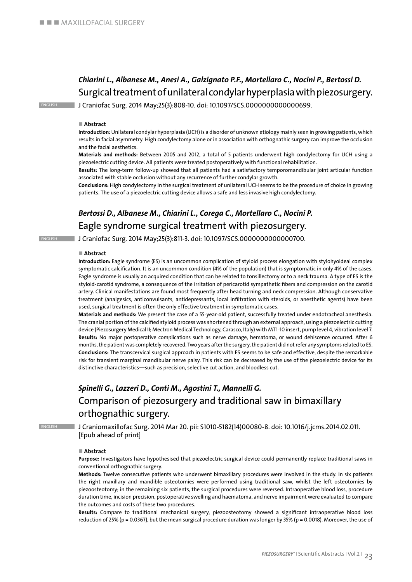### *Chiarini L., Albanese M., Anesi A., Galzignato P.F., Mortellaro C., Nocini P., Bertossi D.* Surgical treatment of unilateral condylar hyperplasia with piezosurgery.

english J Craniofac Surg. 2014 May;25(3):808-10. doi: 10.1097/SCS.0000000000000699.

#### ■ Abstract

**Introduction:** Unilateral condylar hyperplasia (UCH) is a disorder of unknown etiology mainly seen in growing patients, which results in facial asymmetry. High condylectomy alone or in association with orthognathic surgery can improve the occlusion and the facial aesthetics.

**Materials and methods:** Between 2005 and 2012, a total of 5 patients underwent high condylectomy for UCH using a piezoelectric cutting device. All patients were treated postoperatively with functional rehabilitation.

**Results:** The long-term follow-up showed that all patients had a satisfactory temporomandibular joint articular function associated with stable occlusion without any recurrence of further condylar growth.

**Conclusions:** High condylectomy in the surgical treatment of unilateral UCH seems to be the procedure of choice in growing patients. The use of a piezoelectric cutting device allows a safe and less invasive high condylectomy.

### *Bertossi D., Albanese M., Chiarini L., Corega C., Mortellaro C., Nocini P.* Eagle syndrome surgical treatment with piezosurgery.

english J Craniofac Surg. 2014 May;25(3):811-3. doi: 10.1097/SCS.0000000000000700.

#### ■ Abstract

**Introduction:** Eagle syndrome (ES) is an uncommon complication of styloid process elongation with stylohyoideal complex symptomatic calcification. It is an uncommon condition (4% of the population) that is symptomatic in only 4% of the cases. Eagle syndrome is usually an acquired condition that can be related to tonsillectomy or to a neck trauma. A type of ES is the styloid-carotid syndrome, a consequence of the irritation of pericarotid sympathetic fibers and compression on the carotid artery. Clinical manifestations are found most frequently after head turning and neck compression. Although conservative treatment (analgesics, anticonvulsants, antidepressants, local infiltration with steroids, or anesthetic agents) have been used, surgical treatment is often the only effective treatment in symptomatic cases.

**Materials and methods:** We present the case of a 55-year-old patient, successfully treated under endotracheal anesthesia. The cranial portion of the calcified styloid process was shortened through an external approach, using a piezoelectric cutting device (Piezosurgery Medical II; Mectron Medical Technology, Carasco, Italy) with MT1-10 insert, pump level 4, vibration level 7. **Results:** No major postoperative complications such as nerve damage, hematoma, or wound dehiscence occurred. After 6 months, the patient was completely recovered. Two years after the surgery, the patient did not refer any symptoms related to ES. **Conclusions:** The transcervical surgical approach in patients with ES seems to be safe and effective, despite the remarkable risk for transient marginal mandibular nerve palsy. This risk can be decreased by the use of the piezoelectric device for its distinctive characteristics—such as precision, selective cut action, and bloodless cut.

### *Spinelli G., Lazzeri D., Conti M., Agostini T., Mannelli G.* Comparison of piezosurgery and traditional saw in bimaxillary orthognathic surgery.

english J Craniomaxillofac Surg. 2014 Mar 20. pii: S1010-5182(14)00080-8. doi: 10.1016/j.jcms.2014.02.011. [Epub ahead of print]

#### ■ Abstract

**Purpose:** Investigators have hypothesised that piezoelectric surgical device could permanently replace traditional saws in conventional orthognathic surgery.

**Methods:** Twelve consecutive patients who underwent bimaxillary procedures were involved in the study. In six patients the right maxillary and mandible osteotomies were performed using traditional saw, whilst the left osteotomies by piezoosteotomy; in the remaining six patients, the surgical procedures were reversed. Intraoperative blood loss, procedure duration time, incision precision, postoperative swelling and haematoma, and nerve impairment were evaluated to compare the outcomes and costs of these two procedures.

**Results:** Compare to traditional mechanical surgery, piezoosteotomy showed a significant intraoperative blood loss reduction of 25% (p = 0.0367), but the mean surgical procedure duration was longer by 35% (p = 0.0018). Moreover, the use of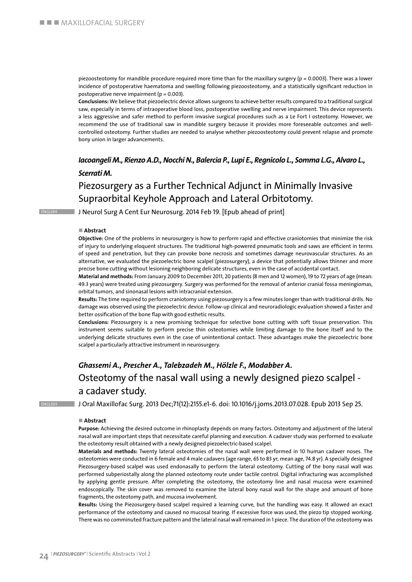piezoosteotomy for mandible procedure required more time than for the maxillary surgery ( $p = 0.0003$ ). There was a lower incidence of postoperative haematoma and swelling following piezoosteotomy, and a statistically significant reduction in postoperative nerve impairment ( $p = 0.003$ ).

**Conclusions:** We believe that piezoelectric device allows surgeons to achieve better results compared to a traditional surgical saw, especially in terms of intraoperative blood loss, postoperative swelling and nerve impairment. This device represents a less aggressive and safer method to perform invasive surgical procedures such as a Le Fort I osteotomy. However, we recommend the use of traditional saw in mandible surgery because it provides more foreseeable outcomes and wellcontrolled osteotomy. Further studies are needed to analyse whether piezoosteotomy could prevent relapse and promote bony union in larger advancements.

### *Iacoangeli M., Rienzo A.D., Nocchi N., Balercia P., Lupi E., Regnicolo L., Somma L.G., Alvaro L., Scerrati M.*

### Piezosurgery as a Further Technical Adjunct in Minimally Invasive Supraorbital Keyhole Approach and Lateral Orbitotomy.

**ENGLISH J Neurol Surg A Cent Eur Neurosurg. 2014 Feb 19. [Epub ahead of print]** 

#### ■ Abstract

**Objective:** One of the problems in neurosurgery is how to perform rapid and effective craniotomies that minimize the risk of injury to underlying eloquent structures. The traditional high-powered pneumatic tools and saws are efficient in terms of speed and penetration, but they can provoke bone necrosis and sometimes damage neurovascular structures. As an alternative, we evaluated the piezoelectric bone scalpel (piezosurgery), a device that potentially allows thinner and more precise bone cutting without lesioning neighboring delicate structures, even in the case of accidental contact.

**Material and methods:** From January 2009 to December 2011, 20 patients (8 men and 12 women), 19 to 72 years of age (mean: 49.3 years) were treated using piezosurgery. Surgery was performed for the removal of anterior cranial fossa meningiomas, orbital tumors, and sinonasal lesions with intracranial extension.

**Results:** The time required to perform craniotomy using piezosurgery is a few minutes longer than with traditional drills. No damage was observed using the piezoelectric device. Follow-up clinical and neuroradiologic evaluation showed a faster and better ossification of the bone flap with good esthetic results.

**Conclusions:** Piezosurgery is a new promising technique for selective bone cutting with soft tissue preservation. This instrument seems suitable to perform precise thin osteotomies while limiting damage to the bone itself and to the underlying delicate structures even in the case of unintentional contact. These advantages make the piezoelectric bone scalpel a particularly attractive instrument in neurosurgery.

### *Ghassemi A., Prescher A., Talebzadeh M., Hölzle F., Modabber A.* Osteotomy of the nasal wall using a newly designed piezo scalpel a cadaver study.

english J Oral Maxillofac Surg. 2013 Dec;71(12):2155.e1-6. doi: 10.1016/j.joms.2013.07.028. Epub 2013 Sep 25.

#### ■ Abstract

**Purpose:** Achieving the desired outcome in rhinoplasty depends on many factors. Osteotomy and adjustment of the lateral nasal wall are important steps that necessitate careful planning and execution. A cadaver study was performed to evaluate the osteotomy result obtained with a newly designed piezoelectric-based scalpel.

**Materials and methods:** Twenty lateral osteotomies of the nasal wall were performed in 10 human cadaver noses. The osteotomies were conducted in 6 female and 4 male cadavers (age range, 65 to 83 yr; mean age, 74.8 yr). A specially designed Piezosurgery-based scalpel was used endonasally to perform the lateral osteotomy. Cutting of the bony nasal wall was performed subperiostally along the planned osteotomy route under tactile control. Digital infracturing was accomplished by applying gentle pressure. After completing the osteotomy, the osteotomy line and nasal mucosa were examined endoscopically. The skin cover was removed to examine the lateral bony nasal wall for the shape and amount of bone fragments, the osteotomy path, and mucosa involvement.

**Results:** Using the Piezosurgery-based scalpel required a learning curve, but the handling was easy. It allowed an exact performance of the osteotomy and caused no mucosal tearing. If excessive force was used, the piezo tip stopped working. There was no comminuted fracture pattern and the lateral nasal wall remained in 1 piece. The duration of the osteotomy was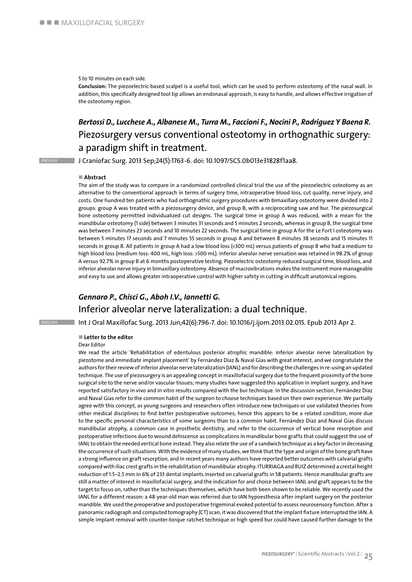#### 5 to 10 minutes on each side.

**Conclusion:** The piezoelectric-based scalpel is a useful tool, which can be used to perform osteotomy of the nasal wall. In addition, this specifically designed tool tip allows an endonasal approach, is easy to handle, and allows effective irrigation of the osteotomy region.

### *Bertossi D., Lucchese A., Albanese M., Turra M., Faccioni F., Nocini P., Rodriguez Y Baena R.* Piezosurgery versus conventional osteotomy in orthognathic surgery: a paradigm shift in treatment.

english J Craniofac Surg. 2013 Sep;24(5):1763-6. doi: 10.1097/SCS.0b013e31828f1aa8.

#### ■ Abstract

The aim of the study was to compare in a randomized controlled clinical trial the use of the piezoelectric osteotomy as an alternative to the conventional approach in terms of surgery time, intraoperative blood loss, cut quality, nerve injury, and costs. One hundred ten patients who had orthognathic surgery procedures with bimaxillary osteotomy were divided into 2 groups: group A was treated with a piezosurgery device, and group B, with a reciprocating saw and bur. The piezosurgical bone osteotomy permitted individualized cut designs. The surgical time in group A was reduced, with a mean for the mandibular osteotomy (1 side) between 3 minutes 31 seconds and 5 minutes 2 seconds, whereas in group B, the surgical time was between 7 minutes 23 seconds and 10 minutes 22 seconds. The surgical time in group A for the Le Fort I osteotomy was between 5 minutes 17 seconds and 7 minutes 55 seconds in group A and between 8 minutes 38 seconds and 15 minutes 11 seconds in group B. All patients in group A had a low blood loss (<300 mL) versus patients of group B who had a medium to high blood loss (medium loss: 400 mL, high loss: >500 mL). Inferior alveolar nerve sensation was retained in 98.2% of group A versus 92.7% in group B at 6 months postoperative testing. Piezoelectric osteotomy reduced surgical time, blood loss, and inferior alveolar nerve injury in bimaxillary osteotomy. Absence of macrovibrations makes the instrument more manageable and easy to use and allows greater intraoperative control with higher safety in cutting in difficult anatomical regions.

### *Gennaro P., Chisci G., Aboh I.V., Iannetti G.* Inferior alveolar nerve lateralization: a dual technique.

english Int J Oral Maxillofac Surg. 2013 Jun;42(6):796-7. doi: 10.1016/j.ijom.2013.02.015. Epub 2013 Apr 2.

#### ■ Letter to the editor

#### Dear Editor

We read the article 'Rehabilitation of edentulous posterior atrophic mandible: inferior alveolar nerve lateralization by piezotome and immediate implant placement' by Fernández Díaz & Naval Gías with great interest, and we congratulate the authors for their review of inferior alveolar nerve lateralization (IANL) and for describing the challenges in re-using an updated technique. The use of piezosurgery is an appealing concept in maxillofacial surgery due to the frequent proximity of the bone surgical site to the nerve and/or vascular tissues; many studies have suggested this application in implant surgery, and have reported satisfactory in vivo and in vitro results compared with the bur technique. In the discussion section, Fernández Díaz and Naval Gías refer to the common habit of the surgeon to choose techniques based on their own experience. We partially agree with this concept, as young surgeons and researchers often introduce new techniques or use validated theories from other medical disciplines to find better postoperative outcomes; hence this appears to be a related condition, more due to the specific personal characteristics of some surgeons than to a common habit. Fernández Díaz and Naval Gías discuss mandibular atrophy, a common case in prosthetic dentistry, and refer to the occurrence of vertical bone resorption and postoperative infections due to wound dehiscence as complications in mandibular bone grafts that could suggest the use of IANL to obtain the needed vertical bone instead. They also relate the use of a sandwich technique as a key factor in decreasing the occurrence of such situations. With the evidence of many studies, we think that the type and origin of the bone graft have a strong influence on graft resorption, and in recent years many authors have reported better outcomes with calvarial grafts compared with iliac crest grafts in the rehabilitation of mandibular atrophy. ITURRIAGA and RUIZ determined a crestal height reduction of 1.5–2.5 mm in 6% of 233 dental implants inserted on calvarial grafts in 58 patients. Hence mandibular grafts are still a matter of interest in maxillofacial surgery, and the indication for and choice between IANL and graft appears to be the target to focus on, rather than the techniques themselves, which have both been shown to be reliable. We recently used the IANL for a different reason: a 48-year-old man was referred due to IAN hypoesthesia after implant surgery on the posterior mandible. We used the preoperative and postoperative trigeminal evoked potential to assess neurosensory function. After a panoramic radiograph and computed tomography (CT) scan, it was discovered that the implant fixture interrupted the IAN. A simple implant removal with counter-torque ratchet technique or high speed bur could have caused further damage to the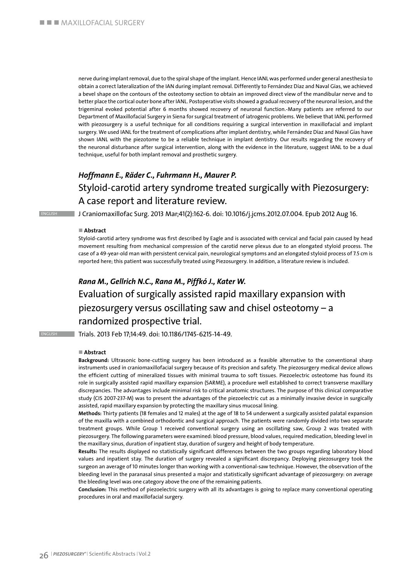nerve during implant removal, due to the spiral shape of the implant. Hence IANL was performed under general anesthesia to obtain a correct lateralization of the IAN during implant removal. Differently to Fernández Díaz and Naval Gías, we achieved a bevel shape on the contours of the osteotomy section to obtain an improved direct view of the mandibular nerve and to better place the cortical outer bone after IANL. Postoperative visits showed a gradual recovery of the neuronal lesion, and the trigeminal evoked potential after 6 months showed recovery of neuronal function.-Many patients are referred to our Department of Maxillofacial Surgery in Siena for surgical treatment of iatrogenic problems. We believe that IANL performed with piezosurgery is a useful technique for all conditions requiring a surgical intervention in maxillofacial and implant surgery. We used IANL for the treatment of complications after implant dentistry, while Fernández Díaz and Naval Gías have shown IANL with the piezotome to be a reliable technique in implant dentistry. Our results regarding the recovery of the neuronal disturbance after surgical intervention, along with the evidence in the literature, suggest IANL to be a dual technique, useful for both implant removal and prosthetic surgery.

### *Hoffmann E., Räder C., Fuhrmann H., Maurer P.* Styloid-carotid artery syndrome treated surgically with Piezosurgery: A case report and literature review.

english J Craniomaxillofac Surg. 2013 Mar;41(2):162-6. doi: 10.1016/j.jcms.2012.07.004. Epub 2012 Aug 16.

#### ■ Abstract

Styloid-carotid artery syndrome was first described by Eagle and is associated with cervical and facial pain caused by head movement resulting from mechanical compression of the carotid nerve plexus due to an elongated styloid process. The case of a 49-year-old man with persistent cervical pain, neurological symptoms and an elongated styloid process of 7.5 cm is reported here; this patient was successfully treated using Piezosurgery. In addition, a literature review is included.

### *Rana M., Gellrich N.C., Rana M., Piffkó J., Kater W.* Evaluation of surgically assisted rapid maxillary expansion with piezosurgery versus oscillating saw and chisel osteotomy – a randomized prospective trial.

english Trials. 2013 Feb 17;14:49. doi: 10.1186/1745-6215-14-49.

#### n **Abstract**

**Background:** Ultrasonic bone-cutting surgery has been introduced as a feasible alternative to the conventional sharp instruments used in craniomaxillofacial surgery because of its precision and safety. The piezosurgery medical device allows the efficient cutting of mineralized tissues with minimal trauma to soft tissues. Piezoelectric osteotome has found its role in surgically assisted rapid maxillary expansion (SARME), a procedure well established to correct transverse maxillary discrepancies. The advantages include minimal risk to critical anatomic structures. The purpose of this clinical comparative study (CIS 2007-237-M) was to present the advantages of the piezoelectric cut as a minimally invasive device in surgically assisted, rapid maxillary expansion by protecting the maxillary sinus mucosal lining.

**Methods:** Thirty patients (18 females and 12 males) at the age of 18 to 54 underwent a surgically assisted palatal expansion of the maxilla with a combined orthodontic and surgical approach. The patients were randomly divided into two separate treatment groups. While Group 1 received conventional surgery using an oscillating saw, Group 2 was treated with piezosurgery. The following parameters were examined: blood pressure, blood values, required medication, bleeding level in the maxillary sinus, duration of inpatient stay, duration of surgery and height of body temperature.

**Results:** The results displayed no statistically significant differences between the two groups regarding laboratory blood values and inpatient stay. The duration of surgery revealed a significant discrepancy. Deploying piezosurgery took the surgeon an average of 10 minutes longer than working with a conventional-saw technique. However, the observation of the bleeding level in the paranasal sinus presented a major and statistically significant advantage of piezosurgery: on average the bleeding level was one category above the one of the remaining patients.

**Conclusion:** This method of piezoelectric surgery with all its advantages is going to replace many conventional operating procedures in oral and maxillofacial surgery.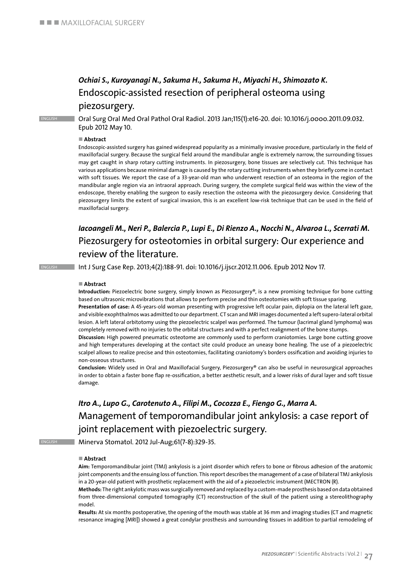### *Ochiai S., Kuroyanagi N., Sakuma H., Sakuma H., Miyachi H., Shimozato K.* Endoscopic-assisted resection of peripheral osteoma using

### piezosurgery.

english Oral Surg Oral Med Oral Pathol Oral Radiol. 2013 Jan;115(1):e16-20. doi: 10.1016/j.oooo.2011.09.032. Epub 2012 May 10.

#### ■ Abstract

Endoscopic-assisted surgery has gained widespread popularity as a minimally invasive procedure, particularly in the field of maxillofacial surgery. Because the surgical field around the mandibular angle is extremely narrow, the surrounding tissues may get caught in sharp rotary cutting instruments. In piezosurgery, bone tissues are selectively cut. This technique has various applications because minimal damage is caused by the rotary cutting instruments when they briefly come in contact with soft tissues. We report the case of a 33-year-old man who underwent resection of an osteoma in the region of the mandibular angle region via an intraoral approach. During surgery, the complete surgical field was within the view of the endoscope, thereby enabling the surgeon to easily resection the osteoma with the piezosurgery device. Considering that piezosurgery limits the extent of surgical invasion, this is an excellent low-risk technique that can be used in the field of maxillofacial surgery.

### *Iacoangeli M., Neri P., Balercia P., Lupi E., Di Rienzo A., Nocchi N., Alvaroa L., Scerrati M.* Piezosurgery for osteotomies in orbital surgery: Our experience and review of the literature.

english Int J Surg Case Rep. 2013;4(2):188-91. doi: 10.1016/j.ijscr.2012.11.006. Epub 2012 Nov 17.

#### ■ Abstract

**Introduction:** Piezoelectric bone surgery, simply known as Piezosurgery®, is a new promising technique for bone cutting based on ultrasonic microvibrations that allows to perform precise and thin osteotomies with soft tissue sparing.

**Presentation of case:** A 45-years-old woman presenting with progressive left ocular pain, diplopia on the lateral left gaze, and visible exophthalmos was admitted to our department. CT scan and MRI images documented a left supero-lateral orbital lesion. A left lateral orbitotomy using the piezoelectric scalpel was performed. The tumour (lacrimal gland lymphoma) was completely removed with no injuries to the orbital structures and with a perfect realignment of the bone stumps.

**Discussion:** High powered pneumatic osteotome are commonly used to perform craniotomies. Large bone cutting groove and high temperatures developing at the contact site could produce an uneasy bone healing. The use of a piezoelectric scalpel allows to realize precise and thin osteotomies, facilitating craniotomy's borders ossification and avoiding injuries to non-osseous structures.

**Conclusion:** Widely used in Oral and Maxillofacial Surgery, Piezosurgery® can also be useful in neurosurgical approaches in order to obtain a faster bone flap re-ossification, a better aesthetic result, and a lower risks of dural layer and soft tissue damage.

*Itro A., Lupo G., Carotenuto A., Filipi M., Cocozza E., Fiengo G., Marra A.* Management of temporomandibular joint ankylosis: a case report of joint replacement with piezoelectric surgery.

english Minerva Stomatol. 2012 Jul-Aug;61(7-8):329-35.

#### ■ Abstract

**Aim:** Temporomandibular joint (TMJ) ankylosis is a joint disorder which refers to bone or fibrous adhesion of the anatomic joint components and the ensuing loss of function. This report describes the management of a case of bilateral TMJ ankylosis in a 20-year-old patient with prosthetic replacement with the aid of a piezoelectric instrument (MECTRON (R).

**Methods:** The right ankylotic mass was surgically removed and replaced by a custom-made prosthesis based on data obtained from three-dimensional computed tomography (CT) reconstruction of the skull of the patient using a stereolithography model.

**Results:** At six months postoperative, the opening of the mouth was stable at 36 mm and imaging studies (CT and magnetic resonance imaging [MRI]) showed a great condylar prosthesis and surrounding tissues in addition to partial remodeling of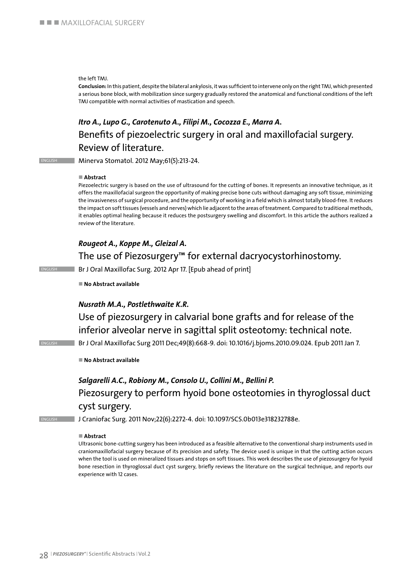the left TMJ.

**Conclusion:** In this patient, despite the bilateral ankylosis, it was sufficient to intervene only on the right TMJ, which presented a serious bone block, with mobilization since surgery gradually restored the anatomical and functional conditions of the left TMJ compatible with normal activities of mastication and speech.

### *Itro A., Lupo G., Carotenuto A., Filipi M., Cocozza E., Marra A.* Benefits of piezoelectric surgery in oral and maxillofacial surgery. Review of literature.

english Minerva Stomatol. 2012 May;61(5):213-24.

### ■ Abstract

Piezoelectric surgery is based on the use of ultrasound for the cutting of bones. It represents an innovative technique, as it offers the maxillofacial surgeon the opportunity of making precise bone cuts without damaging any soft tissue, minimizing the invasiveness of surgical procedure, and the opportunity of working in a field which is almost totally blood-free. It reduces the impact on soft tissues (vessels and nerves) which lie adjacent to the areas of treatment. Compared to traditional methods, it enables optimal healing because it reduces the postsurgery swelling and discomfort. In this article the authors realized a review of the literature.

### *Rougeot A., Koppe M., Gleizal A.*

The use of Piezosurgery™ for external dacryocystorhinostomy.

ENGLISH Br J Oral Maxillofac Surg. 2012 Apr 17. [Epub ahead of print]

■ No Abstract available

### *Nusrath M.A., Postlethwaite K.R.*

Use of piezosurgery in calvarial bone grafts and for release of the inferior alveolar nerve in sagittal split osteotomy: technical note.

english Br J Oral Maxillofac Surg 2011 Dec;49(8):668-9. doi: 10.1016/j.bjoms.2010.09.024. Epub 2011 Jan 7.

■ No Abstract available

### *Salgarelli A.C., Robiony M., Consolo U., Collini M., Bellini P.* Piezosurgery to perform hyoid bone osteotomies in thyroglossal duct cyst surgery.

ENGLISH J Craniofac Surg. 2011 Nov;22(6):2272-4. doi: 10.1097/SCS.0b013e318232788e.

#### ■ Abstract

Ultrasonic bone-cutting surgery has been introduced as a feasible alternative to the conventional sharp instruments used in craniomaxillofacial surgery because of its precision and safety. The device used is unique in that the cutting action occurs when the tool is used on mineralized tissues and stops on soft tissues. This work describes the use of piezosurgery for hyoid bone resection in thyroglossal duct cyst surgery, briefly reviews the literature on the surgical technique, and reports our experience with 12 cases.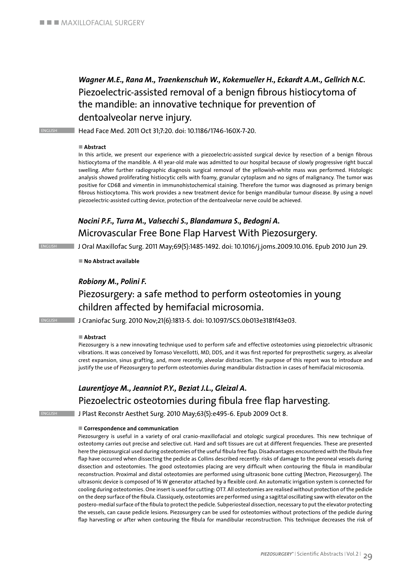### *Wagner M.E., Rana M., Traenkenschuh W., Kokemueller H., Eckardt A.M., Gellrich N.C.* Piezoelectric-assisted removal of a benign fibrous histiocytoma of the mandible: an innovative technique for prevention of dentoalveolar nerve injury.

ENGLISH Head Face Med. 2011 Oct 31;7:20. doi: 10.1186/1746-160X-7-20.

#### ■ Abstract

In this article, we present our experience with a piezoelectric-assisted surgical device by resection of a benign fibrous histiocytoma of the mandible. A 41 year-old male was admitted to our hospital because of slowly progressive right buccal swelling. After further radiographic diagnosis surgical removal of the yellowish-white mass was performed. Histologic analysis showed proliferating histiocytic cells with foamy, granular cytoplasm and no signs of malignancy. The tumor was positive for CD68 and vimentin in immunohistochemical staining. Therefore the tumor was diagnosed as primary benign fibrous histiocytoma. This work provides a new treatment device for benign mandibular tumour disease. By using a novel piezoelectric-assisted cutting device, protection of the dentoalveolar nerve could be achieved.

### *Nocini P.F., Turra M., Valsecchi S., Blandamura S., Bedogni A.* Microvascular Free Bone Flap Harvest With Piezosurgery.

english J Oral Maxillofac Surg. 2011 May;69(5):1485-1492. doi: 10.1016/j.joms.2009.10.016. Epub 2010 Jun 29.

■ No Abstract available

### *Robiony M., Polini F.*

### Piezosurgery: a safe method to perform osteotomies in young children affected by hemifacial microsomia.

english J Craniofac Surg. 2010 Nov;21(6):1813-5. doi: 10.1097/SCS.0b013e3181f43e03.

#### ■ Abstract

Piezosurgery is a new innovating technique used to perform safe and effective osteotomies using piezoelectric ultrasonic vibrations. It was conceived by Tomaso Vercellotti, MD, DDS, and it was first reported for preprosthetic surgery, as alveolar crest expansion, sinus grafting, and, more recently, alveolar distraction. The purpose of this report was to introduce and justify the use of Piezosurgery to perform osteotomies during mandibular distraction in cases of hemifacial microsomia.

### *Laurentjoye M., Jeanniot P.Y., Beziat J.L., Gleizal A.* Piezoelectric osteotomies during fibula free flap harvesting.

english J Plast Reconstr Aesthet Surg. 2010 May;63(5):e495-6. Epub 2009 Oct 8.

#### ■ Correspondence and communication

Piezosurgery is useful in a variety of oral cranio-maxillofacial and otologic surgical procedures. This new technique of osteotomy carries out precise and selective cut. Hard and soft tissues are cut at different frequencies. These are presented here the piezosurgical used during osteotomies of the useful fibula free flap. Disadvantages encountered with the fibula free flap have occurred when dissecting the pedicle as Collins described recently: risks of damage to the peroneal vessels during dissection and osteotomies. The good osteotomies placing are very difficult when contouring the fibula in mandibular reconstruction. Proximal and distal osteotomies are performed using ultrasonic bone cutting (Mectron, Piezosurgery). The ultrasonic device is composed of 16 W generator attached by a flexible cord. An automatic irrigation system is connected for cooling during osteotomies. One insert is used for cutting: OT7. All osteotomies are realised without protection of the pedicle on the deep surface of the fibula. Classiquely, osteotomies are performed using a sagittal oscillating saw with elevator on the postero-medial surface of the fibula to protect the pedicle. Subperiosteal dissection, necessary to put the elevator protecting the vessels, can cause pedicle lesions. Piezosurgery can be used for osteotomies without protections of the pedicle during flap harvesting or after when contouring the fibula for mandibular reconstruction. This technique decreases the risk of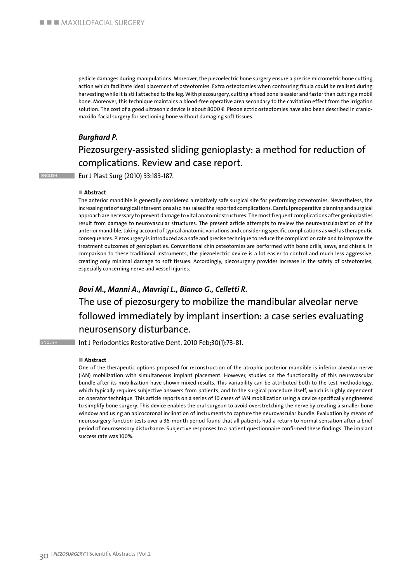pedicle damages during manipulations. Moreover, the piezoelectric bone surgery ensure a precise micrometric bone cutting action which facilitate ideal placement of osteotomies. Extra osteotomies when contouring fibula could be realised during harvesting while it is still attached to the leg. With piezosurgery, cutting a fixed bone is easier and faster than cutting a mobil bone. Moreover, this technique maintains a blood-free operative area secondary to the cavitation effect from the irrigation solution. The cost of a good ultrasonic device is about 8000 €. Piezoelectric osteotomies have also been described in craniomaxillo-facial surgery for sectioning bone without damaging soft tissues.

### *Burghard P.*

### Piezosurgery-assisted sliding genioplasty: a method for reduction of complications. Review and case report.

english Eur J Plast Surg (2010) 33:183-187.

### ■ Abstract

The anterior mandible is generally considered a relatively safe surgical site for performing osteotomies. Nevertheless, the increasing rate of surgical interventions also has raised the reported complications. Careful preoperative planning and surgical approach are necessary to prevent damage to vital anatomic structures. The most frequent complications after genioplasties result from damage to neurovascular structures. The present article attempts to review the neurovascularization of the anterior mandible, taking account of typical anatomic variations and considering specific complications as well as therapeutic consequences. Piezosurgery is introduced as a safe and precise technique to reduce the complication rate and to improve the treatment outcomes of genioplasties. Conventional chin osteotomies are performed with bone drills, saws, and chisels. In comparison to these traditional instruments, the piezoelectric device is a lot easier to control and much less aggressive, creating only minimal damage to soft tissues. Accordingly, piezosurgery provides increase in the safety of osteotomies, especially concerning nerve and vessel injuries.

### *Bovi M., Manni A., Mavriqi L., Bianco G., Celletti R.*

### The use of piezosurgery to mobilize the mandibular alveolar nerve followed immediately by implant insertion: a case series evaluating neurosensory disturbance.

**ENGLISH Int J Periodontics Restorative Dent. 2010 Feb;30(1):73-81.** 

#### ■ Abstract

One of the therapeutic options proposed for reconstruction of the atrophic posterior mandible is inferior alveolar nerve (IAN) mobilization with simultaneous implant placement. However, studies on the functionality of this neurovascular bundle after its mobilization have shown mixed results. This variability can be attributed both to the test methodology, which typically requires subjective answers from patients, and to the surgical procedure itself, which is highly dependent on operator technique. This article reports on a series of 10 cases of IAN mobilization using a device specifically engineered to simplify bone surgery. This device enables the oral surgeon to avoid overstretching the nerve by creating a smaller bone window and using an apicocoronal inclination of instruments to capture the neurovascular bundle. Evaluation by means of neurosurgery function tests over a 36-month period found that all patients had a return to normal sensation after a brief period of neurosensory disturbance. Subjective responses to a patient questionnaire confirmed these findings. The implant success rate was 100%.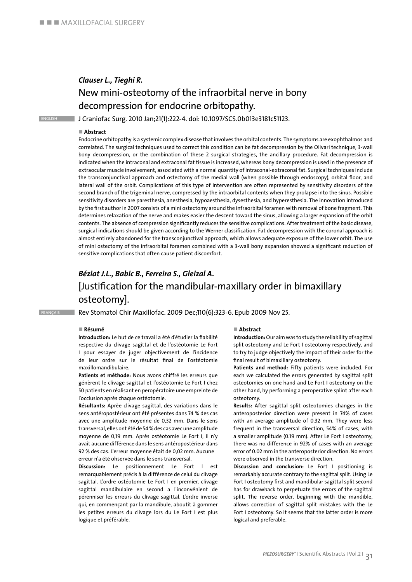### *Clauser L., Tieghi R.* New mini-osteotomy of the infraorbital nerve in bony decompression for endocrine orbitopathy.

english J Craniofac Surg. 2010 Jan;21(1):222-4. doi: 10.1097/SCS.0b013e3181c51123.

#### ■ Abstract

Endocrine orbitopathy is a systemic complex disease that involves the orbital contents. The symptoms are exophthalmos and correlated. The surgical techniques used to correct this condition can be fat decompression by the Olivari technique, 3-wall bony decompression, or the combination of these 2 surgical strategies, the ancillary procedure. Fat decompression is indicated when the intraconal and extraconal fat tissue is increased, whereas bony decompression is used in the presence of extraocular muscle involvement, associated with a normal quantity of intraconal-extraconal fat. Surgical techniques include the transconjunctival approach and ostectomy of the medial wall (when possible through endoscopy), orbital floor, and lateral wall of the orbit. Complications of this type of intervention are often represented by sensitivity disorders of the second branch of the trigeminal nerve, compressed by the intraorbital contents when they prolapse into the sinus. Possible sensitivity disorders are paresthesia, anesthesia, hypoaesthesia, dysesthesia, and hyperesthesia. The innovation introduced by the first author in 2007 consists of a mini ostectomy around the infraorbital foramen with removal of bone fragment. This determines relaxation of the nerve and makes easier the descent toward the sinus, allowing a larger expansion of the orbit contents. The absence of compression significantly reduces the sensitive complications. After treatment of the basic disease, surgical indications should be given according to the Werner classification. Fat decompression with the coronal approach is almost entirely abandoned for the transconjunctival approach, which allows adequate exposure of the lower orbit. The use of mini ostectomy of the infraorbital foramen combined with a 3-wall bony expansion showed a significant reduction of sensitive complications that often cause patient discomfort.

### *Béziat J.L., Babic B., Ferreira S., Gleizal A.*  [Justification for the mandibular-maxillary order in bimaxillary osteotomy].

FRANÇAIS Rev Stomatol Chir Maxillofac. 2009 Dec;110(6):323-6. Epub 2009 Nov 25.

#### n **Résumé**

**lntroduction:** Le but de ce travail a été d'étudier la fiabilité respective du clivage sagittal et de l'ostéotomie Le Fort I pour essayer de juger objectivement de l'incidence de leur ordre sur le résultat final de l'ostéotomie maxillomandibulaire.

**Patients et méthode:** Nous avons chiffré les erreurs que génèrent le clivage sagittal et l'ostéotomie Le Fort I chez 50 patients en réalisant en peropératoire une empreinte de l'occlusion après chaque ostéotomie.

**Résultants:** Aprèe clivage sagittal, des variations dans le sens antéropostérieur ont été présentes dans 74 % des cas avec une amplitude moyenne de 0,32 mm. Dans le sens transversal, elles ont été de 54 % des cas avec une amplitude moyenne de 0,19 mm. Après ostéotomie Le Fort I, il n'y avait aucune différence dans le sens antéropostérieur dans 92 % des cas. L'erreur moyenne était de 0,02 mm. Aucune erreur n'a été ohservée dans le sens transversal.

**Discussion:** Le positionnement Le Fort l est remarquablement précis à la différence de celui du clivage sagittal. L'ordre ostéotomie Le Fort I en premier, clivage sagittal mandibulaire en second a l'inconvénient de pérenniser les erreurs du clivage sagittal. L'ordre inverse qui, en commençant par la mandibule, aboutit à gommer les petites erreurs du clivage lors du Le Fort I est plus logique et préférable.

#### ■ Abstract

**Introduction:** Our aim was to study the reliability of sagittal split osteotomy and Le Fort I osteotomy respectively, and to try to judge objectively the impact of their order for the final result of bimaxillary osteotomy.

**Patients and method:** Fifty patients were included. For each we calculated the errors generated by sagittal split osteotomies on one hand and Le Fort I osteotomy on the other hand, by performing a peroperative splint after each osteotomy.

**Results:** After sagittal split osteotomies changes in the anteroposterior direction were present in 74% of cases with an average amplitude of 0.32 mm. They were less frequent in the transversal direction, 54% of cases, with a smaller amplitude (0.19 mm). After Le Fort I osteotomy, there was no difference in 92% of cases with an average error of 0.02 mm in the anteroposterior direction. No errors were observed in the transverse direction.

**Discussion and conclusion:** Le Fort I positioning is remarkably accurate contrary to the sagittal split. Using Le Fort I osteotomy first and mandibular sagittal split second has for drawback to perpetuate the errors of the sagittal split. The reverse order, beginning with the mandible, allows correction of sagittal split mistakes with the Le Fort I osteotomy. So it seems that the latter order is more logical and preferable.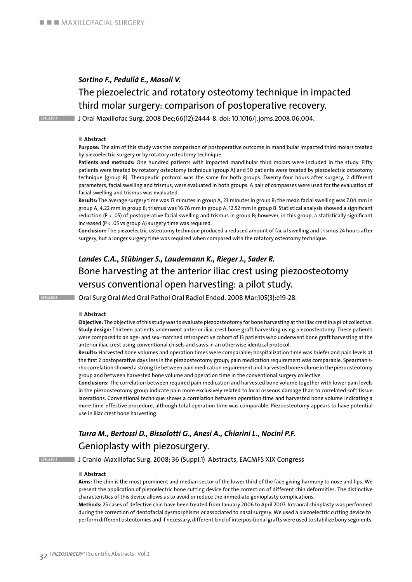### *Sortino F., Pedullà E., Masoli V.* The piezoelectric and rotatory osteotomy technique in impacted third molar surgery: comparison of postoperative recovery.

english J Oral Maxillofac Surg. 2008 Dec;66(12):2444-8. doi: 10.1016/j.joms.2008.06.004.

#### ■ Abstract

**Purpose:** The aim of this study was the comparison of postoperative outcome in mandibular impacted third molars treated by piezoelectric surgery or by rotatory osteotomy technique.

**Patients and methods:** One hundred patients with impacted mandibular third molars were included in the study. Fifty patients were treated by rotatory osteotomy technique (group A) and 50 patients were treated by piezoelectric osteotomy technique (group B). Therapeutic protocol was the same for both groups. Twenty-four hours after surgery, 2 different parameters, facial swelling and trismus, were evaluated in both groups. A pair of compasses were used for the evaluation of facial swelling and trismus was evaluated.

**Results:** The average surgery time was 17 minutes in group A, 23 minutes in group B; the mean facial swelling was 7.04 mm in group A, 4.22 mm in group B; trismus was 16.76 mm in group A, 12.52 mm in group B. Statistical analysis showed a significant reduction (P < .05) of postoperative facial swelling and trismus in group B; however, in this group, a statistically significant increased (P < .05 vs group A) surgery time was required.

**Conclusion:** The piezoelectric osteotomy technique produced a reduced amount of facial swelling and trismus 24 hours after surgery, but a longer surgery time was required when compared with the rotatory osteotomy technique.

### *Landes C.A., Stübinger S., Laudemann K., Rieger J., Sader R.* Bone harvesting at the anterior iliac crest using piezoosteotomy versus conventional open harvesting: a pilot study.

**ENGLISH Oral Surg Oral Med Oral Pathol Oral Radiol Endod. 2008 Mar;105(3):e19-28.** 

#### ■ Abstract

**Objective:** The objective of this study was to evaluate piezoosteotomy for bone harvesting at the iliac crest in a pilot collective. **Study design:** Thirteen patients underwent anterior iliac crest bone graft harvesting using piezoosteotomy. These patients were compared to an age- and sex-matched retrospective cohort of 13 patients who underwent bone graft harvesting at the anterior iliac crest using conventional chisels and saws in an otherwise identical protocol.

**Results:** Harvested bone volumes and operation times were comparable; hospitalization time was briefer and pain levels at the first 2 postoperative days less in the piezoosteotomy group; pain medication requirement was comparable. Spearman'srho correlation showed a strong tie between pain medication requirement and harvested bone volume in the piezoosteotomy group and between harvested bone volume and operation time in the conventional surgery collective.

**Conclusions:** The correlation between required pain medication and harvested bone volume together with lower pain levels in the piezoosteotomy group indicate pain more exclusively related to local osseous damage than to correlated soft tissue lacerations. Conventional technique shows a correlation between operation time and harvested bone volume indicating a more time-effective procedure, although total operation time was comparable. Piezoosteotomy appears to have potential use in iliac crest bone harvesting.

### *Turra M., Bertossi D., Bissolotti G., Anesi A., Chiarini L., Nocini P.F.* Genioplasty with piezosurgery.

english J Cranio-Maxillofac Surg. 2008; 36 (Suppl.1) Abstracts, EACMFS XIX Congress

#### ■ Abstract

**Aims:** The chin is the most prominent and median sector of the lower third of the face giving harmony to nose and lips. We present the application of piezoelectric bone cutting device for the correction of different chin deformities. The distinctive characteristics of this device allows us to avoid or reduce the immediate genioplasty complications.

**Methods:** 25 cases of defective chin have been treated from January 2006 to April 2007. Intraoral chinplasty was performed during the correction of dentofacial dysmorphisms or associated to nasal surgery. We used a piezoelectric cutting device to perform different osteotomies and if necessary, different kind of interpositional grafts were used to stabilize bony segments.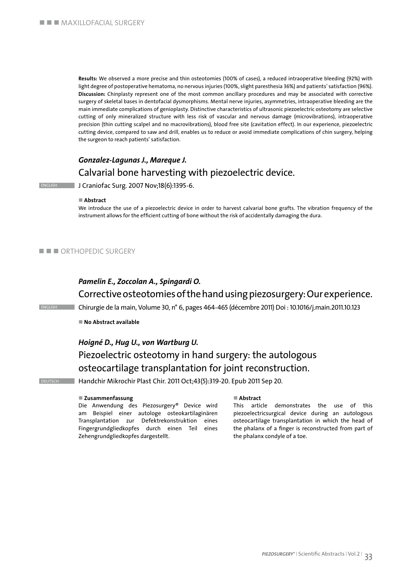**Results:** We observed a more precise and thin osteotomies (100% of cases), a reduced intraoperative bleeding (92%) with light degree of postoperative hematoma, no nervous injuries (100%, slight paresthesia 36%) and patients' satisfaction (96%). **Discussion:** Chinplasty represent one of the most common ancillary procedures and may be associated with corrective surgery of skeletal bases in dentofacial dysmorphisms. Mental nerve injuries, asymmetries, intraoperative bleeding are the main immediate complications of genioplasty. Distinctive characteristics of ultrasonic piezoelectric osteotomy are selective cutting of only mineralized structure with less risk of vascular and nervous damage (microvibrations), intraoperative precision (thin cutting scalpel and no macrovibrations), blood free site (cavitation effect). In our experience, piezoelectric cutting device, compared to saw and drill, enables us to reduce or avoid immediate complications of chin surgery, helping the surgeon to reach patients' satisfaction.

### *Gonzalez-Lagunas J., Mareque J.* Calvarial bone harvesting with piezoelectric device.

**ENGLISH J Craniofac Surg. 2007 Nov;18(6):1395-6.** 

#### n **Abstract**

We introduce the use of a piezoelectric device in order to harvest calvarial bone grafts. The vibration frequency of the instrument allows for the efficient cutting of bone without the risk of accidentally damaging the dura.

#### $\blacksquare$   $\blacksquare$  ORTHOPEDIC SURGERY

### *Pamelin E., Zoccolan A., Spingardi O.*

Corrective osteotomies of the hand using piezosurgery: Our experience.

english Chirurgie de la main, Volume 30, n° 6, pages 464-465 (décembre 2011) Doi : 10.1016/j.main.2011.10.123

■ **No Abstract available** 

#### *Hoigné D., Hug U., von Wartburg U.*

## Piezoelectric osteotomy in hand surgery: the autologous osteocartilage transplantation for joint reconstruction.

DEUTSCH Handchir Mikrochir Plast Chir. 2011 Oct;43(5):319-20. Epub 2011 Sep 20.

#### n **Zusammenfassung**

Die Anwendung des Piezosurgery® Device wird am Beispiel einer autologe osteokartilaginären Transplantation zur Defektrekonstruktion eines Fingergrundgliedkopfes durch einen Teil eines Zehengrundgliedkopfes dargestellt.

#### ■ Abstract

This article demonstrates the use of this piezoelectricsurgical device during an autologous osteocartilage transplantation in which the head of the phalanx of a finger is reconstructed from part of the phalanx condyle of a toe.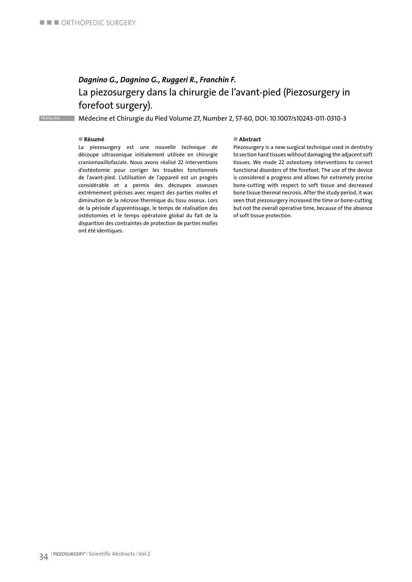### *Dagnino G., Dagnino G., Ruggeri R., Franchin F.* La piezosurgery dans la chirurgie de l'avant-pied (Piezosurgery in forefoot surgery).

FRANÇAIS Médecine et Chirurgie du Pied Volume 27, Number 2, 57-60, DOI: 10.1007/s10243-011-0310-3

#### n **Résumé**

La piezosurgery est une nouvelle technique de découpe ultrasonique initialement utilisée en chirurgie craniomaxillofaciale. Nous avons réalisé 22 interventions d'ostéotomie pour corriger les troubles fonctionnels de l'avant-pied. L'utilisation de l'appareil est un progrès considérable et a permis des découpes osseuses extrêmement précises avec respect des parties molles et diminution de la nécrose thermique du tissu osseux. Lors de la période d'apprentissage, le temps de réalisation des ostéotomies et le temps opératoire global du fait de la disparition des contraintes de protection de parties molles ont été identiques.

#### ■ Abstract

Piezosurgery is a new surgical technique used in dentistry to section hard tissues without damaging the adjacent soft tissues. We made 22 osteotomy interventions to correct functional disorders of the forefoot. The use of the device is considered a progress and allows for extremely precise bone-cutting with respect to soft tissue and decreased bone tissue thermal necrosis. After the study period, it was seen that piezosurgery increased the time or bone-cutting but not the overall operative time, because of the absence of soft tissue protection.